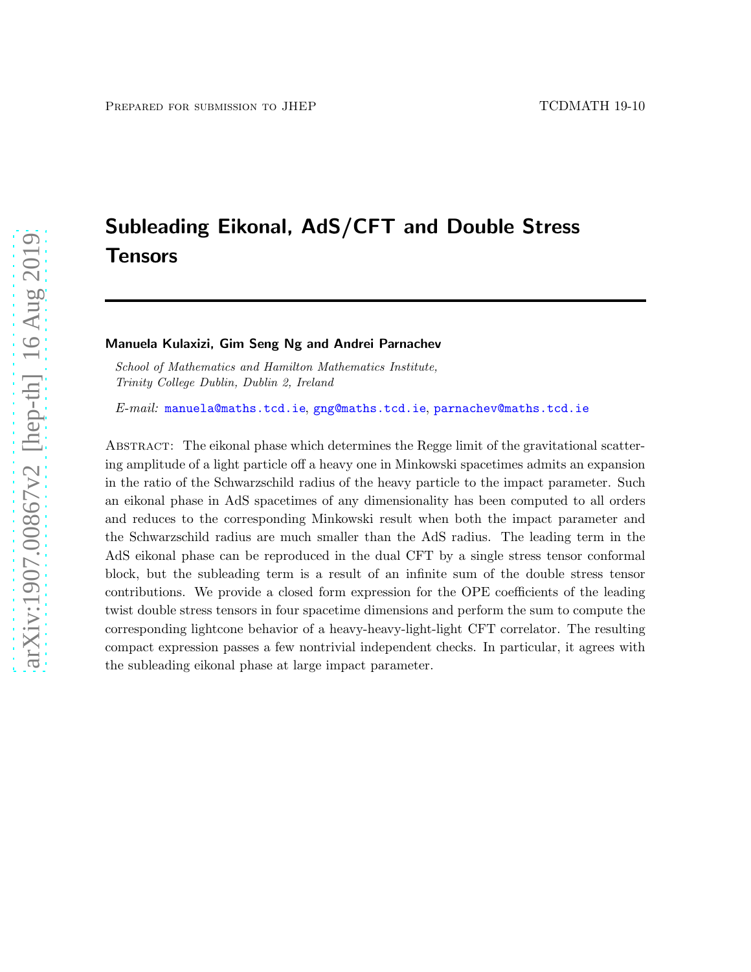# Subleading Eikonal, AdS/CFT and Double Stress Tensors

Manuela Kulaxizi, Gim Seng Ng and Andrei Parnachev

*School of Mathematics and Hamilton Mathematics Institute, Trinity College Dublin, Dublin 2, Ireland*

*E-mail:* [manuela@maths.tcd.ie](mailto:manuela@maths.tcd.ie), [gng@maths.tcd.ie](mailto:gng@maths.tcd.ie), [parnachev@maths.tcd.ie](mailto:parnachev@maths.tcd.ie)

Abstract: The eikonal phase which determines the Regge limit of the gravitational scattering amplitude of a light particle off a heavy one in Minkowski spacetimes admits an expansion in the ratio of the Schwarzschild radius of the heavy particle to the impact parameter. Such an eikonal phase in AdS spacetimes of any dimensionality has been computed to all orders and reduces to the corresponding Minkowski result when both the impact parameter and the Schwarzschild radius are much smaller than the AdS radius. The leading term in the AdS eikonal phase can be reproduced in the dual CFT by a single stress tensor conformal block, but the subleading term is a result of an infinite sum of the double stress tensor contributions. We provide a closed form expression for the OPE coefficients of the leading twist double stress tensors in four spacetime dimensions and perform the sum to compute the corresponding lightcone behavior of a heavy-heavy-light-light CFT correlator. The resulting compact expression passes a few nontrivial independent checks. In particular, it agrees with the subleading eikonal phase at large impact parameter.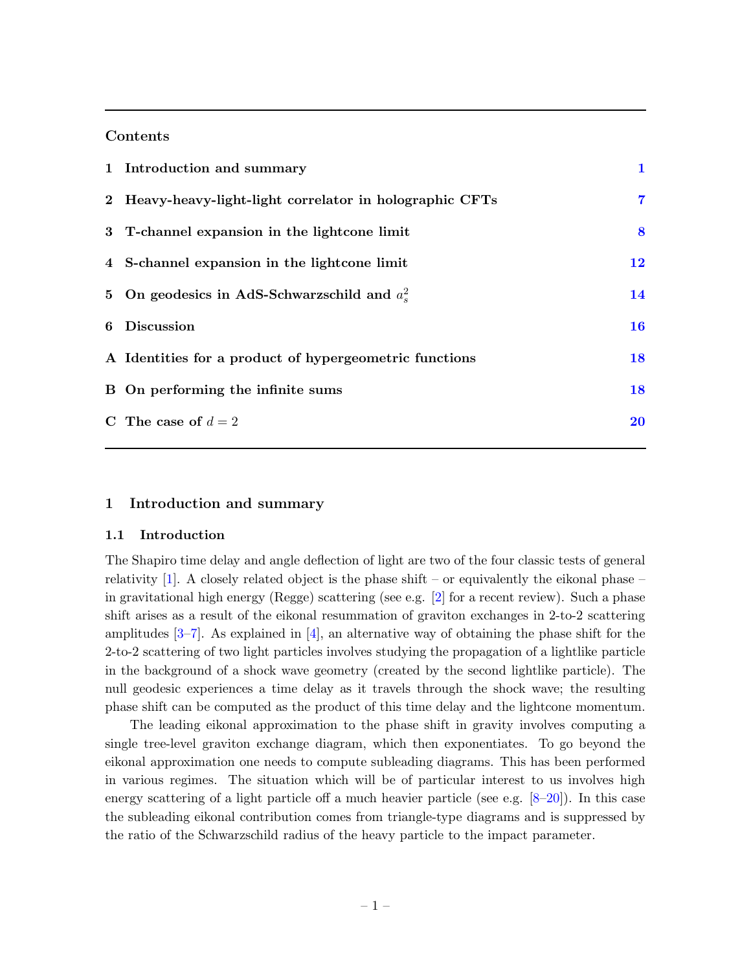# Contents

| 1 Introduction and summary                               | $\mathbf 1$    |
|----------------------------------------------------------|----------------|
| 2 Heavy-heavy-light-light correlator in holographic CFTs | $\overline{7}$ |
| 3 T-channel expansion in the lightcone limit             | 8              |
| 4 S-channel expansion in the lightcone limit             | 12             |
| 5 On geodesics in AdS-Schwarzschild and $a_s^2$          | 14             |
| 6 Discussion                                             | 16             |
| A Identities for a product of hypergeometric functions   | 18             |
| B On performing the infinite sums                        | 18             |
| C The case of $d=2$                                      | 20             |

### <span id="page-1-0"></span>1 Introduction and summary

### 1.1 Introduction

The Shapiro time delay and angle deflection of light are two of the four classic tests of general relativity  $[1]$ . A closely related object is the phase shift – or equivalently the eikonal phase – in gravitational high energy (Regge) scattering (see e.g. [\[2](#page-25-1)] for a recent review). Such a phase shift arises as a result of the eikonal resummation of graviton exchanges in 2-to-2 scattering amplitudes  $[3-7]$ . As explained in  $[4]$ , an alternative way of obtaining the phase shift for the 2-to-2 scattering of two light particles involves studying the propagation of a lightlike particle in the background of a shock wave geometry (created by the second lightlike particle). The null geodesic experiences a time delay as it travels through the shock wave; the resulting phase shift can be computed as the product of this time delay and the lightcone momentum.

The leading eikonal approximation to the phase shift in gravity involves computing a single tree-level graviton exchange diagram, which then exponentiates. To go beyond the eikonal approximation one needs to compute subleading diagrams. This has been performed in various regimes. The situation which will be of particular interest to us involves high energy scattering of a light particle off a much heavier particle (see e.g.  $[8-20]$ ). In this case the subleading eikonal contribution comes from triangle-type diagrams and is suppressed by the ratio of the Schwarzschild radius of the heavy particle to the impact parameter.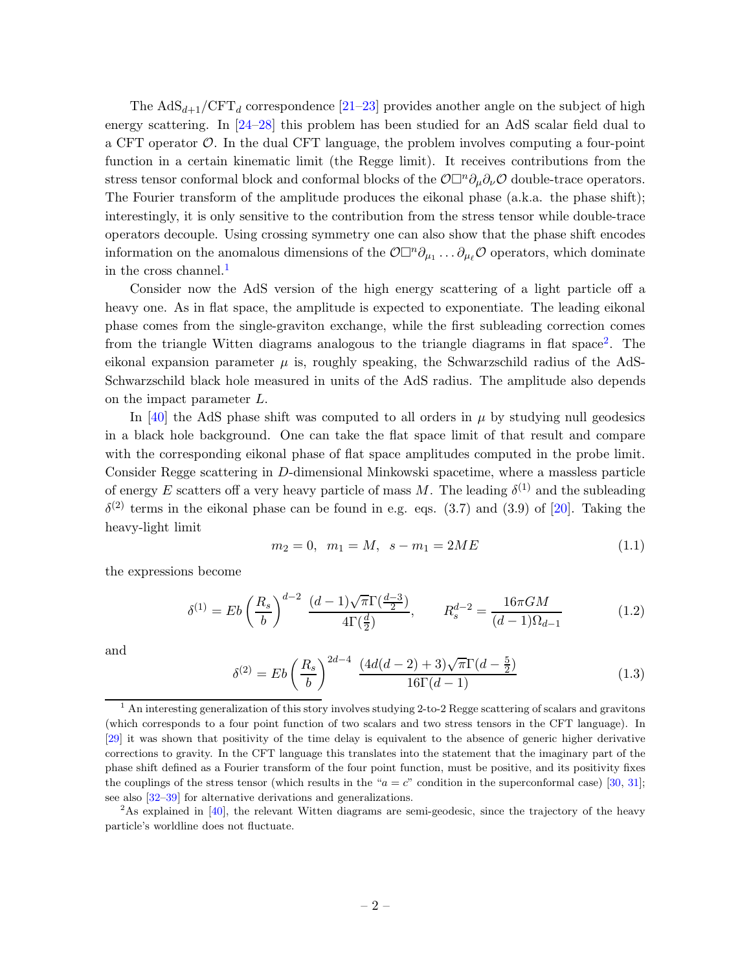The  $AdS_{d+1}/CFT_d$  correspondence [\[21](#page-26-1)[–23](#page-26-2)] provides another angle on the subject of high energy scattering. In [\[24](#page-26-3)[–28\]](#page-26-4) this problem has been studied for an AdS scalar field dual to a CFT operator  $\mathcal O$ . In the dual CFT language, the problem involves computing a four-point function in a certain kinematic limit (the Regge limit). It receives contributions from the stress tensor conformal block and conformal blocks of the  $\mathcal{O}\Box^n\partial_\mu\partial_\nu\mathcal{O}$  double-trace operators. The Fourier transform of the amplitude produces the eikonal phase (a.k.a. the phase shift); interestingly, it is only sensitive to the contribution from the stress tensor while double-trace operators decouple. Using crossing symmetry one can also show that the phase shift encodes information on the anomalous dimensions of the  $\mathcal{O}\Box^n\partial_{\mu_1}\dots\partial_{\mu_\ell}\mathcal{O}$  operators, which dominate in the cross channel.<sup>[1](#page-2-0)</sup>

Consider now the AdS version of the high energy scattering of a light particle off a heavy one. As in flat space, the amplitude is expected to exponentiate. The leading eikonal phase comes from the single-graviton exchange, while the first subleading correction comes from the triangle Witten diagrams analogous to the triangle diagrams in flat space<sup>[2](#page-2-1)</sup>. The eikonal expansion parameter  $\mu$  is, roughly speaking, the Schwarzschild radius of the AdS-Schwarzschild black hole measured in units of the AdS radius. The amplitude also depends on the impact parameter L.

In [\[40](#page-27-0)] the AdS phase shift was computed to all orders in  $\mu$  by studying null geodesics in a black hole background. One can take the flat space limit of that result and compare with the corresponding eikonal phase of flat space amplitudes computed in the probe limit. Consider Regge scattering in D-dimensional Minkowski spacetime, where a massless particle of energy E scatters off a very heavy particle of mass M. The leading  $\delta^{(1)}$  and the subleading  $\delta^{(2)}$  terms in the eikonal phase can be found in e.g. eqs. (3.7) and (3.9) of [\[20\]](#page-26-0). Taking the heavy-light limit

$$
m_2 = 0, \ \ m_1 = M, \ \ s - m_1 = 2ME \tag{1.1}
$$

the expressions become

<span id="page-2-2"></span>
$$
\delta^{(1)} = Eb \left(\frac{R_s}{b}\right)^{d-2} \frac{(d-1)\sqrt{\pi}\Gamma(\frac{d-3}{2})}{4\Gamma(\frac{d}{2})}, \qquad R_s^{d-2} = \frac{16\pi GM}{(d-1)\Omega_{d-1}} \tag{1.2}
$$

and

<span id="page-2-3"></span>
$$
\delta^{(2)} = Eb\left(\frac{R_s}{b}\right)^{2d-4} \frac{(4d(d-2)+3)\sqrt{\pi}\Gamma(d-\frac{5}{2})}{16\Gamma(d-1)}
$$
(1.3)

<span id="page-2-1"></span><sup>2</sup>As explained in [\[40\]](#page-27-0), the relevant Witten diagrams are semi-geodesic, since the trajectory of the heavy particle's worldline does not fluctuate.

<span id="page-2-0"></span> $1$  An interesting generalization of this story involves studying 2-to-2 Regge scattering of scalars and gravitons (which corresponds to a four point function of two scalars and two stress tensors in the CFT language). In [\[29](#page-26-5)] it was shown that positivity of the time delay is equivalent to the absence of generic higher derivative corrections to gravity. In the CFT language this translates into the statement that the imaginary part of the phase shift defined as a Fourier transform of the four point function, must be positive, and its positivity fixes the couplings of the stress tensor (which results in the " $a = c$ " condition in the superconformal case) [\[30](#page-26-6), [31](#page-26-7)]; see also [\[32](#page-26-8)[–39](#page-27-1)] for alternative derivations and generalizations.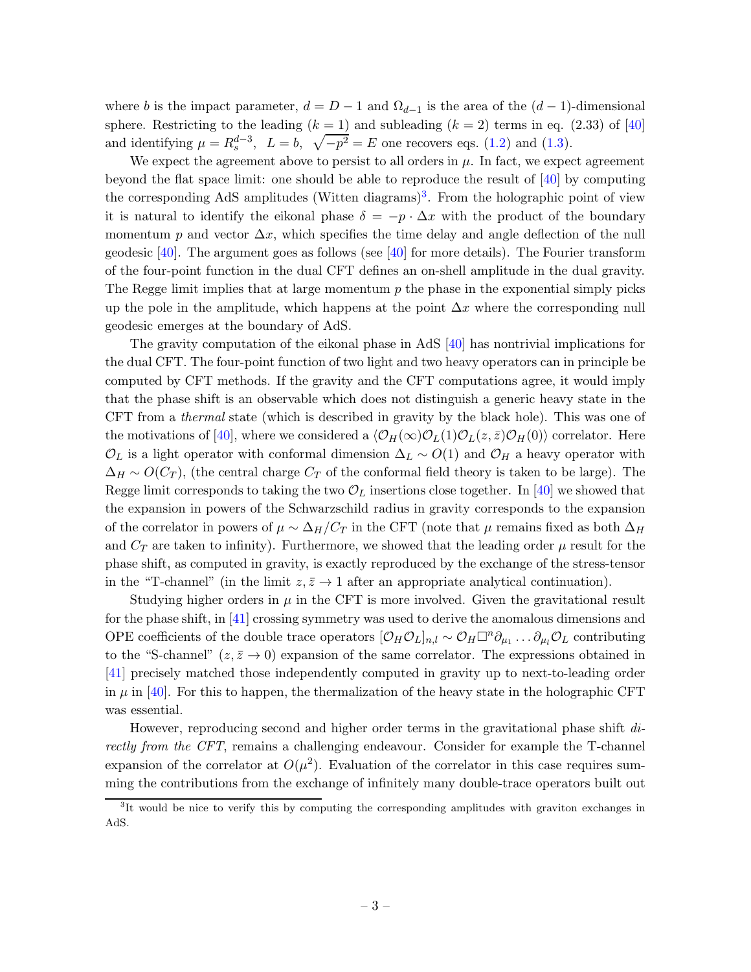where b is the impact parameter,  $d = D - 1$  and  $\Omega_{d-1}$  is the area of the  $(d-1)$ -dimensional sphere. Restricting to the leading  $(k = 1)$  and subleading  $(k = 2)$  terms in eq. (2.33) of [\[40](#page-27-0)] and identifying  $\mu = R_s^{d-3}$ ,  $L = b$ ,  $\sqrt{-p^2} = E$  one recovers eqs. [\(1.2\)](#page-2-2) and [\(1.3\)](#page-2-3).

We expect the agreement above to persist to all orders in  $\mu$ . In fact, we expect agreement beyond the flat space limit: one should be able to reproduce the result of  $[40]$  by computing the corresponding AdS amplitudes (Witten diagrams)<sup>[3](#page-3-0)</sup>. From the holographic point of view it is natural to identify the eikonal phase  $\delta = -p \cdot \Delta x$  with the product of the boundary momentum p and vector  $\Delta x$ , which specifies the time delay and angle deflection of the null geodesic  $[40]$ . The argument goes as follows (see  $[40]$  for more details). The Fourier transform of the four-point function in the dual CFT defines an on-shell amplitude in the dual gravity. The Regge limit implies that at large momentum  $p$  the phase in the exponential simply picks up the pole in the amplitude, which happens at the point  $\Delta x$  where the corresponding null geodesic emerges at the boundary of AdS.

The gravity computation of the eikonal phase in AdS [\[40\]](#page-27-0) has nontrivial implications for the dual CFT. The four-point function of two light and two heavy operators can in principle be computed by CFT methods. If the gravity and the CFT computations agree, it would imply that the phase shift is an observable which does not distinguish a generic heavy state in the CFT from a *thermal* state (which is described in gravity by the black hole). This was one of the motivations of [\[40\]](#page-27-0), where we considered a  $\langle \mathcal{O}_H(\infty) \mathcal{O}_L(1) \mathcal{O}_L(z,\bar{z}) \mathcal{O}_H(0) \rangle$  correlator. Here  $\mathcal{O}_L$  is a light operator with conformal dimension  $\Delta_L \sim O(1)$  and  $\mathcal{O}_H$  a heavy operator with  $\Delta_H \sim O(C_T)$ , (the central charge  $C_T$  of the conformal field theory is taken to be large). The Regge limit corresponds to taking the two  $\mathcal{O}_L$  insertions close together. In [\[40\]](#page-27-0) we showed that the expansion in powers of the Schwarzschild radius in gravity corresponds to the expansion of the correlator in powers of  $\mu \sim \Delta_H/C_T$  in the CFT (note that  $\mu$  remains fixed as both  $\Delta_H$ and  $C_T$  are taken to infinity). Furthermore, we showed that the leading order  $\mu$  result for the phase shift, as computed in gravity, is exactly reproduced by the exchange of the stress-tensor in the "T-channel" (in the limit  $z, \bar{z} \to 1$  after an appropriate analytical continuation).

Studying higher orders in  $\mu$  in the CFT is more involved. Given the gravitational result for the phase shift, in [\[41](#page-27-2)] crossing symmetry was used to derive the anomalous dimensions and OPE coefficients of the double trace operators  $[\mathcal{O}_H \mathcal{O}_L]_{n,l} \sim \mathcal{O}_H \Box^n \partial_{\mu_1} \dots \partial_{\mu_l} \mathcal{O}_L$  contributing to the "S-channel"  $(z, \bar{z} \to 0)$  expansion of the same correlator. The expressions obtained in [\[41](#page-27-2)] precisely matched those independently computed in gravity up to next-to-leading order in  $\mu$  in [\[40](#page-27-0)]. For this to happen, the thermalization of the heavy state in the holographic CFT was essential.

However, reproducing second and higher order terms in the gravitational phase shift *directly from the CFT*, remains a challenging endeavour. Consider for example the T-channel expansion of the correlator at  $O(\mu^2)$ . Evaluation of the correlator in this case requires summing the contributions from the exchange of infinitely many double-trace operators built out

<span id="page-3-0"></span><sup>&</sup>lt;sup>3</sup>It would be nice to verify this by computing the corresponding amplitudes with graviton exchanges in AdS.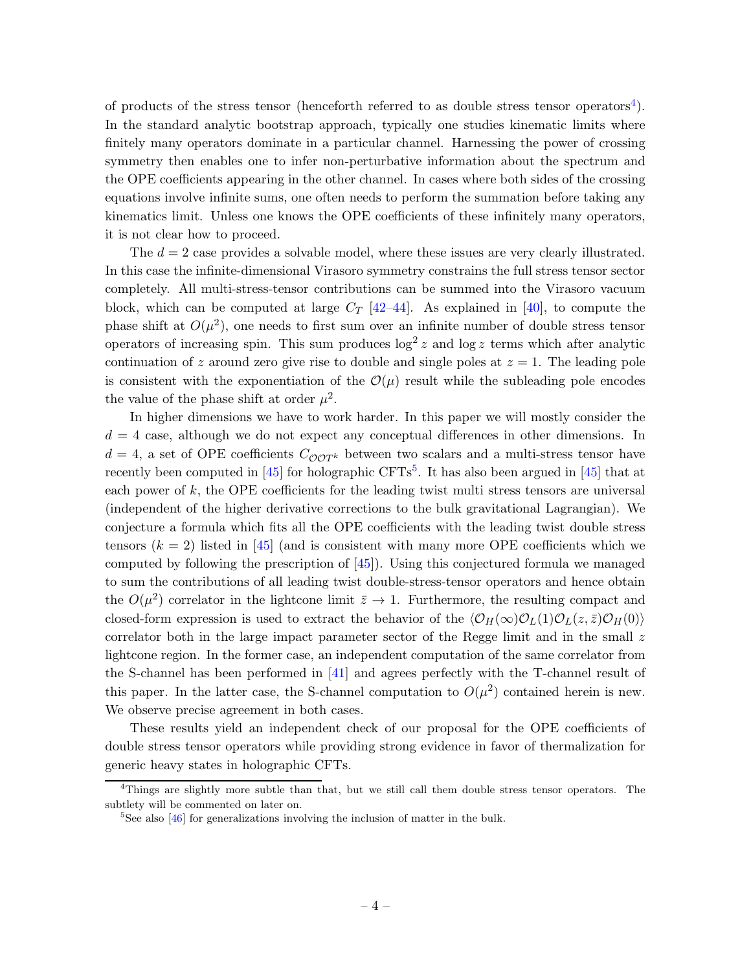of products of the stress tensor (henceforth referred to as double stress tensor operators<sup>[4](#page-4-0)</sup>). In the standard analytic bootstrap approach, typically one studies kinematic limits where finitely many operators dominate in a particular channel. Harnessing the power of crossing symmetry then enables one to infer non-perturbative information about the spectrum and the OPE coefficients appearing in the other channel. In cases where both sides of the crossing equations involve infinite sums, one often needs to perform the summation before taking any kinematics limit. Unless one knows the OPE coefficients of these infinitely many operators, it is not clear how to proceed.

The  $d = 2$  case provides a solvable model, where these issues are very clearly illustrated. In this case the infinite-dimensional Virasoro symmetry constrains the full stress tensor sector completely. All multi-stress-tensor contributions can be summed into the Virasoro vacuum block, which can be computed at large  $C_T$  [\[42](#page-27-3)[–44](#page-27-4)]. As explained in [\[40](#page-27-0)], to compute the phase shift at  $O(\mu^2)$ , one needs to first sum over an infinite number of double stress tensor operators of increasing spin. This sum produces  $\log^2 z$  and  $\log z$  terms which after analytic continuation of z around zero give rise to double and single poles at  $z = 1$ . The leading pole is consistent with the exponentiation of the  $\mathcal{O}(\mu)$  result while the subleading pole encodes the value of the phase shift at order  $\mu^2$ .

In higher dimensions we have to work harder. In this paper we will mostly consider the  $d = 4$  case, although we do not expect any conceptual differences in other dimensions. In  $d = 4$ , a set of OPE coefficients  $C_{\mathcal{O} \mathcal{O} T^k}$  between two scalars and a multi-stress tensor have recently been computed in  $[45]$  $[45]$  $[45]$  for holographic CFTs<sup>5</sup>. It has also been argued in  $[45]$  that at each power of  $k$ , the OPE coefficients for the leading twist multi stress tensors are universal (independent of the higher derivative corrections to the bulk gravitational Lagrangian). We conjecture a formula which fits all the OPE coefficients with the leading twist double stress tensors  $(k = 2)$  listed in [\[45](#page-27-5)] (and is consistent with many more OPE coefficients which we computed by following the prescription of [\[45](#page-27-5)]). Using this conjectured formula we managed to sum the contributions of all leading twist double-stress-tensor operators and hence obtain the  $O(\mu^2)$  correlator in the lightcone limit  $\bar{z} \to 1$ . Furthermore, the resulting compact and closed-form expression is used to extract the behavior of the  $\langle \mathcal{O}_H(\infty) \mathcal{O}_L(1) \mathcal{O}_L(z,\bar{z}) \mathcal{O}_H(0) \rangle$ correlator both in the large impact parameter sector of the Regge limit and in the small  $z$ lightcone region. In the former case, an independent computation of the same correlator from the S-channel has been performed in [\[41](#page-27-2)] and agrees perfectly with the T-channel result of this paper. In the latter case, the S-channel computation to  $O(\mu^2)$  contained herein is new. We observe precise agreement in both cases.

These results yield an independent check of our proposal for the OPE coefficients of double stress tensor operators while providing strong evidence in favor of thermalization for generic heavy states in holographic CFTs.

<sup>&</sup>lt;sup>4</sup>Things are slightly more subtle than that, but we still call them double stress tensor operators. The subtlety will be commented on later on.

<span id="page-4-1"></span><span id="page-4-0"></span><sup>&</sup>lt;sup>5</sup>See also [\[46\]](#page-27-6) for generalizations involving the inclusion of matter in the bulk.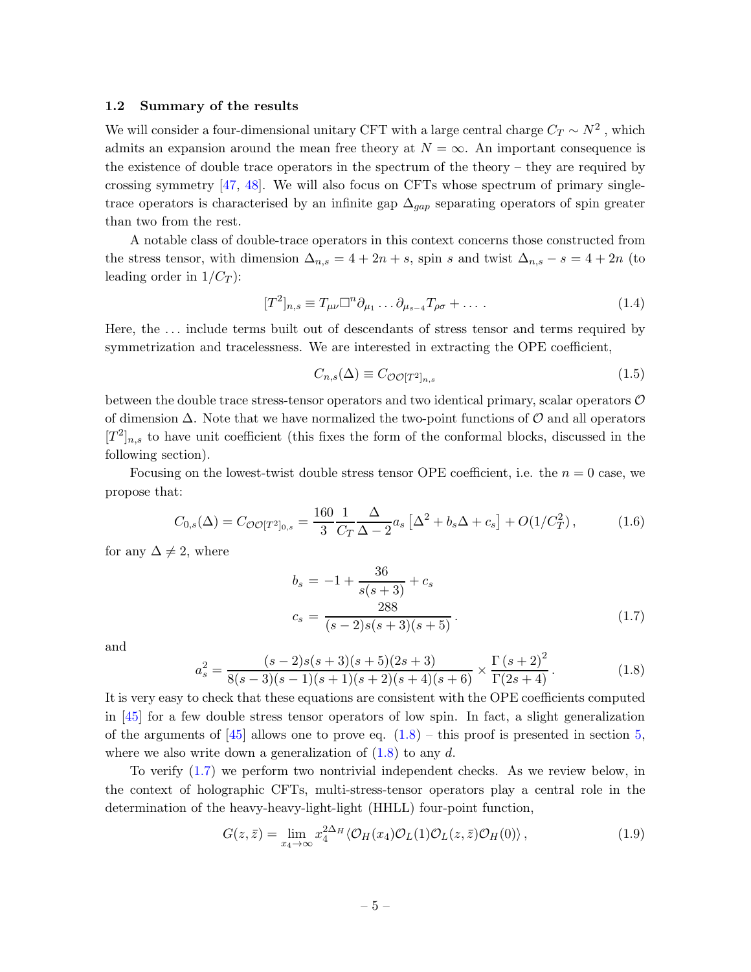#### 1.2 Summary of the results

We will consider a four-dimensional unitary CFT with a large central charge  $C_T \sim N^2$ , which admits an expansion around the mean free theory at  $N = \infty$ . An important consequence is the existence of double trace operators in the spectrum of the theory – they are required by crossing symmetry  $[47, 48]$  $[47, 48]$ . We will also focus on CFTs whose spectrum of primary singletrace operators is characterised by an infinite gap  $\Delta_{qap}$  separating operators of spin greater than two from the rest.

A notable class of double-trace operators in this context concerns those constructed from the stress tensor, with dimension  $\Delta_{n,s} = 4 + 2n + s$ , spin s and twist  $\Delta_{n,s} - s = 4 + 2n$  (to leading order in  $1/C_T$ ):

$$
[T^2]_{n,s} \equiv T_{\mu\nu} \Box^n \partial_{\mu_1} \dots \partial_{\mu_{s-4}} T_{\rho\sigma} + \dots \tag{1.4}
$$

Here, the . . . include terms built out of descendants of stress tensor and terms required by symmetrization and tracelessness. We are interested in extracting the OPE coefficient,

$$
C_{n,s}(\Delta) \equiv C_{\mathcal{O}\mathcal{O}[T^2]_{n,s}}\tag{1.5}
$$

between the double trace stress-tensor operators and two identical primary, scalar operators  $\mathcal O$ of dimension  $\Delta$ . Note that we have normalized the two-point functions of  $\mathcal O$  and all operators  $[T<sup>2</sup>]_{n,s}$  to have unit coefficient (this fixes the form of the conformal blocks, discussed in the following section).

Focusing on the lowest-twist double stress tensor OPE coefficient, i.e. the  $n = 0$  case, we propose that:

$$
C_{0,s}(\Delta) = C_{\mathcal{O}\mathcal{O}[T^2]_{0,s}} = \frac{160}{3} \frac{1}{C_T} \frac{\Delta}{\Delta - 2} a_s \left[ \Delta^2 + b_s \Delta + c_s \right] + O(1/C_T^2), \tag{1.6}
$$

for any  $\Delta \neq 2$ , where

<span id="page-5-1"></span>
$$
b_s = -1 + \frac{36}{s(s+3)} + c_s
$$
  

$$
c_s = \frac{288}{(s-2)s(s+3)(s+5)}.
$$
 (1.7)

and

<span id="page-5-0"></span>
$$
a_s^2 = \frac{(s-2)s(s+3)(s+5)(2s+3)}{8(s-3)(s-1)(s+1)(s+2)(s+4)(s+6)} \times \frac{\Gamma(s+2)^2}{\Gamma(2s+4)}.
$$
 (1.8)

It is very easy to check that these equations are consistent with the OPE coefficients computed in [\[45](#page-27-5)] for a few double stress tensor operators of low spin. In fact, a slight generalization of the arguments of  $\begin{bmatrix} 45 \end{bmatrix}$  allows one to prove eq.  $(1.8)$  – this proof is presented in section [5,](#page-14-0) where we also write down a generalization of  $(1.8)$  to any d.

To verify [\(1.7\)](#page-5-1) we perform two nontrivial independent checks. As we review below, in the context of holographic CFTs, multi-stress-tensor operators play a central role in the determination of the heavy-heavy-light-light (HHLL) four-point function,

$$
G(z,\bar{z}) = \lim_{x_4 \to \infty} x_4^{2\Delta_H} \langle \mathcal{O}_H(x_4) \mathcal{O}_L(1) \mathcal{O}_L(z,\bar{z}) \mathcal{O}_H(0) \rangle, \qquad (1.9)
$$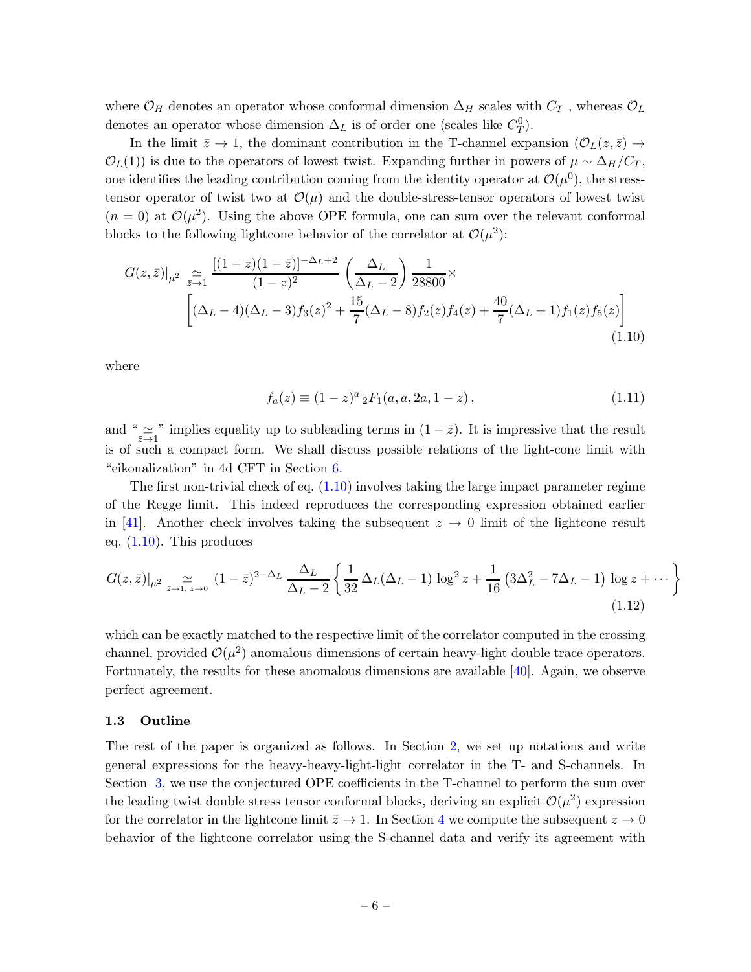where  $\mathcal{O}_H$  denotes an operator whose conformal dimension  $\Delta_H$  scales with  $C_T$ , whereas  $\mathcal{O}_L$ denotes an operator whose dimension  $\Delta_L$  is of order one (scales like  $C_T^0$ ).

In the limit  $\bar{z} \to 1$ , the dominant contribution in the T-channel expansion  $(\mathcal{O}_L(z,\bar{z}) \to$  $\mathcal{O}_L(1)$ ) is due to the operators of lowest twist. Expanding further in powers of  $\mu \sim \Delta_H/C_T$ , one identifies the leading contribution coming from the identity operator at  $\mathcal{O}(\mu^0)$ , the stresstensor operator of twist two at  $\mathcal{O}(\mu)$  and the double-stress-tensor operators of lowest twist  $(n = 0)$  at  $\mathcal{O}(\mu^2)$ . Using the above OPE formula, one can sum over the relevant conformal blocks to the following lightcone behavior of the correlator at  $\mathcal{O}(\mu^2)$ :

<span id="page-6-0"></span>
$$
G(z,\bar{z})|_{\mu^2} \underset{z \to 1}{\simeq} \frac{\left[ (1-z)(1-\bar{z}) \right]^{-\Delta_L+2}}{(1-z)^2} \left( \frac{\Delta_L}{\Delta_L - 2} \right) \frac{1}{28800} \times \left[ (\Delta_L - 4)(\Delta_L - 3) f_3(z)^2 + \frac{15}{7} (\Delta_L - 8) f_2(z) f_4(z) + \frac{40}{7} (\Delta_L + 1) f_1(z) f_5(z) \right]
$$
\n(1.10)

where

<span id="page-6-1"></span>
$$
f_a(z) \equiv (1-z)^a {}_2F_1(a, a, 2a, 1-z), \qquad (1.11)
$$

and " $\approx \frac{1}{z-1}$ " implies equality up to subleading terms in  $(1-\overline{z})$ . It is impressive that the result is of such a compact form. We shall discuss possible relations of the light-cone limit with "eikonalization" in 4d CFT in Section [6.](#page-16-0)

The first non-trivial check of eq.  $(1.10)$  involves taking the large impact parameter regime of the Regge limit. This indeed reproduces the corresponding expression obtained earlier in [\[41](#page-27-2)]. Another check involves taking the subsequent  $z \to 0$  limit of the lightcone result eq.  $(1.10)$ . This produces

$$
G(z,\bar{z})|_{\mu^2} \underset{z \to 1, z \to 0}{\simeq} (1-\bar{z})^{2-\Delta_L} \frac{\Delta_L}{\Delta_L - 2} \left\{ \frac{1}{32} \Delta_L (\Delta_L - 1) \log^2 z + \frac{1}{16} \left( 3\Delta_L^2 - 7\Delta_L - 1 \right) \log z + \cdots \right\}
$$
\n(1.12)

which can be exactly matched to the respective limit of the correlator computed in the crossing channel, provided  $\mathcal{O}(\mu^2)$  anomalous dimensions of certain heavy-light double trace operators. Fortunately, the results for these anomalous dimensions are available [\[40\]](#page-27-0). Again, we observe perfect agreement.

## 1.3 Outline

The rest of the paper is organized as follows. In Section [2,](#page-7-0) we set up notations and write general expressions for the heavy-heavy-light-light correlator in the T- and S-channels. In Section [3,](#page-8-0) we use the conjectured OPE coefficients in the T-channel to perform the sum over the leading twist double stress tensor conformal blocks, deriving an explicit  $\mathcal{O}(\mu^2)$  expression for the correlator in the lightcone limit  $\bar{z} \to 1$ . In Section [4](#page-12-0) we compute the subsequent  $z \to 0$ behavior of the lightcone correlator using the S-channel data and verify its agreement with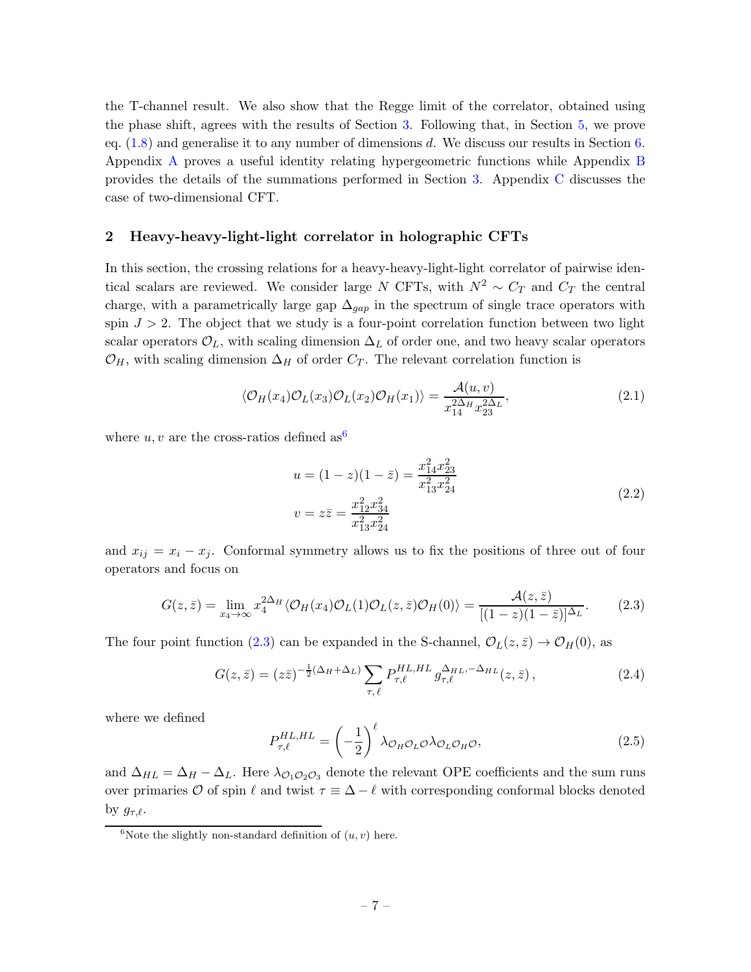the T-channel result. We also show that the Regge limit of the correlator, obtained using the phase shift, agrees with the results of Section [3.](#page-8-0) Following that, in Section [5,](#page-14-0) we prove eq. [\(1.8\)](#page-5-0) and generalise it to any number of dimensions d. We discuss our results in Section [6.](#page-16-0) Appendix [A](#page-18-0) proves a useful identity relating hypergeometric functions while Appendix [B](#page-18-1) provides the details of the summations performed in Section [3.](#page-8-0) Appendix [C](#page-20-0) discusses the case of two-dimensional CFT.

### <span id="page-7-0"></span>2 Heavy-heavy-light-light correlator in holographic CFTs

In this section, the crossing relations for a heavy-heavy-light-light correlator of pairwise identical scalars are reviewed. We consider large N CFTs, with  $N^2 \sim C_T$  and  $C_T$  the central charge, with a parametrically large gap  $\Delta_{gap}$  in the spectrum of single trace operators with spin  $J > 2$ . The object that we study is a four-point correlation function between two light scalar operators  $\mathcal{O}_L$ , with scaling dimension  $\Delta_L$  of order one, and two heavy scalar operators  $\mathcal{O}_H$ , with scaling dimension  $\Delta_H$  of order  $C_T$ . The relevant correlation function is

$$
\langle \mathcal{O}_H(x_4)\mathcal{O}_L(x_3)\mathcal{O}_L(x_2)\mathcal{O}_H(x_1)\rangle = \frac{\mathcal{A}(u,v)}{x_{14}^{2\Delta_H}x_{23}^{2\Delta_L}},\tag{2.1}
$$

where u, v are the cross-ratios defined as  $6$ 

$$
u = (1 - z)(1 - \bar{z}) = \frac{x_{14}^2 x_{23}^2}{x_{13}^2 x_{24}^2}
$$
  

$$
v = z\bar{z} = \frac{x_{12}^2 x_{34}^2}{x_{13}^2 x_{24}^2}
$$
 (2.2)

and  $x_{ij} = x_i - x_j$ . Conformal symmetry allows us to fix the positions of three out of four operators and focus on

<span id="page-7-2"></span>
$$
G(z,\bar{z}) = \lim_{x_4 \to \infty} x_4^{2\Delta_H} \langle \mathcal{O}_H(x_4) \mathcal{O}_L(1) \mathcal{O}_L(z,\bar{z}) \mathcal{O}_H(0) \rangle = \frac{\mathcal{A}(z,\bar{z})}{[(1-z)(1-\bar{z})]^{\Delta_L}}.
$$
 (2.3)

The four point function [\(2.3\)](#page-7-2) can be expanded in the S-channel,  $\mathcal{O}_L(z,\bar{z}) \to \mathcal{O}_H(0)$ , as

<span id="page-7-3"></span>
$$
G(z,\bar{z}) = (z\bar{z})^{-\frac{1}{2}(\Delta_H + \Delta_L)} \sum_{\tau,\ell} P_{\tau,\ell}^{HL,HL} g_{\tau,\ell}^{\Delta_{HL}, -\Delta_{HL}}(z,\bar{z}), \qquad (2.4)
$$

where we defined

<span id="page-7-4"></span>
$$
P_{\tau,\ell}^{HL,HL} = \left(-\frac{1}{2}\right)^{\ell} \lambda_{\mathcal{O}_H \mathcal{O}_L \mathcal{O}} \lambda_{\mathcal{O}_L \mathcal{O}_H \mathcal{O}},\tag{2.5}
$$

and  $\Delta_{HL} = \Delta_H - \Delta_L$ . Here  $\lambda_{\mathcal{O}_1\mathcal{O}_2\mathcal{O}_3}$  denote the relevant OPE coefficients and the sum runs over primaries O of spin  $\ell$  and twist  $\tau \equiv \Delta - \ell$  with corresponding conformal blocks denoted by  $g_{\tau,\ell}$ .

<span id="page-7-1"></span><sup>&</sup>lt;sup>6</sup>Note the slightly non-standard definition of  $(u, v)$  here.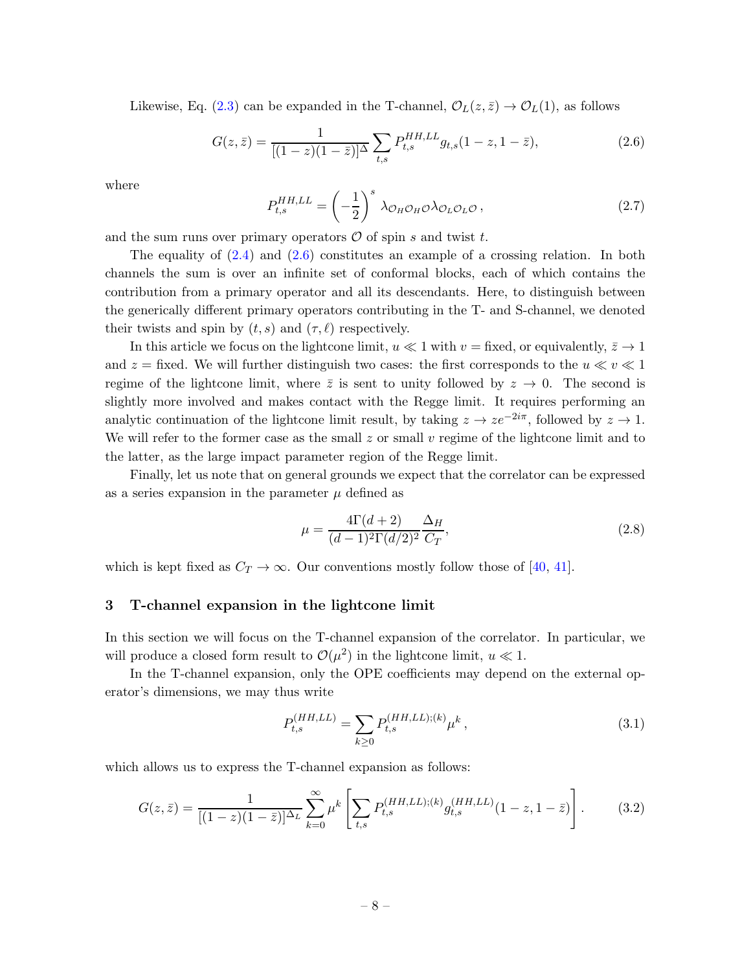Likewise, Eq. [\(2.3\)](#page-7-2) can be expanded in the T-channel,  $\mathcal{O}_L(z,\bar{z}) \to \mathcal{O}_L(1)$ , as follows

<span id="page-8-1"></span>
$$
G(z,\bar{z}) = \frac{1}{[(1-z)(1-\bar{z})]^{\Delta}} \sum_{t,s} P_{t,s}^{HH,LL} g_{t,s} (1-z, 1-\bar{z}), \qquad (2.6)
$$

where

$$
P_{t,s}^{HH,LL} = \left(-\frac{1}{2}\right)^s \lambda_{\mathcal{O}_H \mathcal{O}_H \mathcal{O}} \lambda_{\mathcal{O}_L \mathcal{O}_L \mathcal{O}} ,\qquad (2.7)
$$

and the sum runs over primary operators  $\mathcal O$  of spin s and twist t.

The equality of  $(2.4)$  and  $(2.6)$  constitutes an example of a crossing relation. In both channels the sum is over an infinite set of conformal blocks, each of which contains the contribution from a primary operator and all its descendants. Here, to distinguish between the generically different primary operators contributing in the T- and S-channel, we denoted their twists and spin by  $(t, s)$  and  $(\tau, \ell)$  respectively.

In this article we focus on the lightcone limit,  $u \ll 1$  with  $v =$  fixed, or equivalently,  $\bar{z} \to 1$ and  $z =$  fixed. We will further distinguish two cases: the first corresponds to the  $u \ll v \ll 1$ regime of the lightcone limit, where  $\bar{z}$  is sent to unity followed by  $z \to 0$ . The second is slightly more involved and makes contact with the Regge limit. It requires performing an analytic continuation of the lightcone limit result, by taking  $z \to ze^{-2i\pi}$ , followed by  $z \to 1$ . We will refer to the former case as the small  $z$  or small  $v$  regime of the lightcone limit and to the latter, as the large impact parameter region of the Regge limit.

Finally, let us note that on general grounds we expect that the correlator can be expressed as a series expansion in the parameter  $\mu$  defined as

$$
\mu = \frac{4\Gamma(d+2)}{(d-1)^2 \Gamma(d/2)^2} \frac{\Delta_H}{C_T},
$$
\n(2.8)

<span id="page-8-0"></span>which is kept fixed as  $C_T \rightarrow \infty$ . Our conventions mostly follow those of [\[40](#page-27-0), [41\]](#page-27-2).

### 3 T-channel expansion in the lightcone limit

In this section we will focus on the T-channel expansion of the correlator. In particular, we will produce a closed form result to  $\mathcal{O}(\mu^2)$  in the lightcone limit,  $u \ll 1$ .

In the T-channel expansion, only the OPE coefficients may depend on the external operator's dimensions, we may thus write

$$
P_{t,s}^{(HH,LL)} = \sum_{k \ge 0} P_{t,s}^{(HH,LL);(k)} \mu^k, \qquad (3.1)
$$

which allows us to express the T-channel expansion as follows:

$$
G(z,\bar{z}) = \frac{1}{[(1-z)(1-\bar{z})]^{\Delta_L}} \sum_{k=0}^{\infty} \mu^k \left[ \sum_{t,s} P_{t,s}^{(HH,LL);(k)} g_{t,s}^{(HH,LL)}(1-z, 1-\bar{z}) \right].
$$
 (3.2)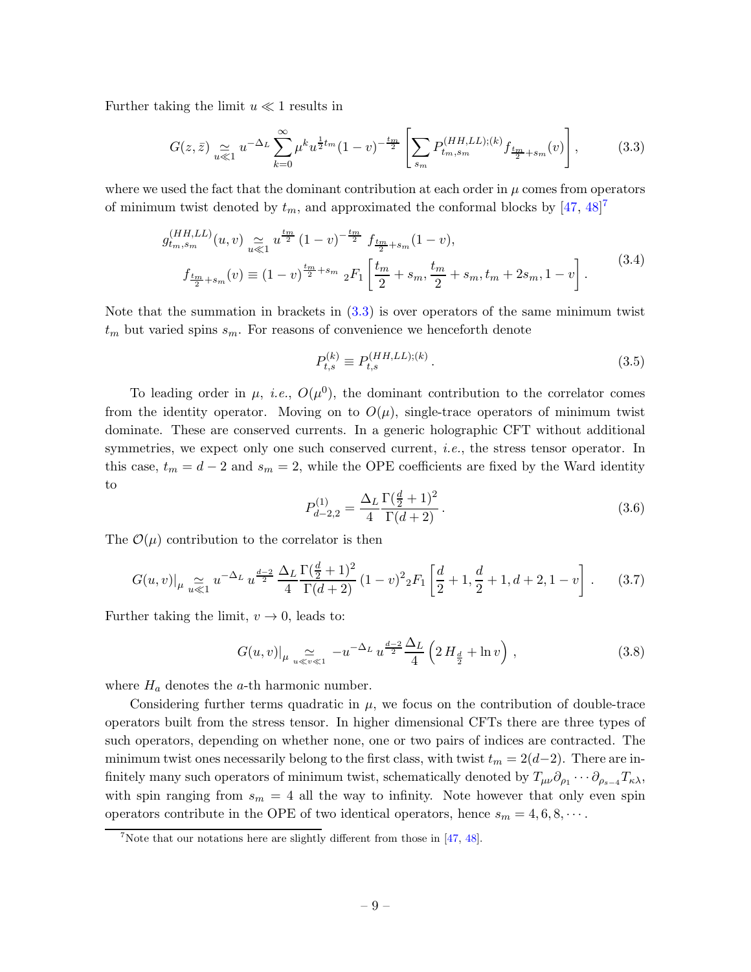Further taking the limit  $u \ll 1$  results in

<span id="page-9-1"></span>
$$
G(z,\bar{z}) \underset{u \ll 1}{\simeq} u^{-\Delta_L} \sum_{k=0}^{\infty} \mu^k u^{\frac{1}{2}t_m} (1-v)^{-\frac{t_m}{2}} \left[ \sum_{s_m} P_{t_m,s_m}^{(HH,LL);(k)} f_{\frac{t_m}{2} + s_m}(v) \right],\tag{3.3}
$$

where we used the fact that the dominant contribution at each order in  $\mu$  comes from operators of minimum twist denoted by  $t_m$ , and approximated the conformal blocks by  $[47, 48]^7$  $[47, 48]^7$  $[47, 48]^7$  $[47, 48]^7$ 

$$
g_{t_m,s_m}^{(HH,LL)}(u,v) \underset{u \ll 1}{\simeq} u^{\frac{t_m}{2}} (1-v)^{-\frac{t_m}{2}} f_{\frac{t_m}{2}+s_m}(1-v),
$$
  

$$
f_{\frac{t_m}{2}+s_m}(v) \equiv (1-v)^{\frac{t_m}{2}+s_m} {}_2F_1 \left[ \frac{t_m}{2} + s_m, \frac{t_m}{2} + s_m, t_m + 2s_m, 1-v \right].
$$
 (3.4)

Note that the summation in brackets in  $(3.3)$  is over operators of the same minimum twist  $t_m$  but varied spins  $s_m$ . For reasons of convenience we henceforth denote

<span id="page-9-3"></span>
$$
P_{t,s}^{(k)} \equiv P_{t,s}^{(HH,LL);(k)}.
$$
\n(3.5)

To leading order in  $\mu$ , *i.e.*,  $O(\mu^0)$ , the dominant contribution to the correlator comes from the identity operator. Moving on to  $O(\mu)$ , single-trace operators of minimum twist dominate. These are conserved currents. In a generic holographic CFT without additional symmetries, we expect only one such conserved current, *i.e.*, the stress tensor operator. In this case,  $t_m = d - 2$  and  $s_m = 2$ , while the OPE coefficients are fixed by the Ward identity to

$$
P_{d-2,2}^{(1)} = \frac{\Delta_L}{4} \frac{\Gamma(\frac{d}{2} + 1)^2}{\Gamma(d+2)}.
$$
\n(3.6)

The  $\mathcal{O}(\mu)$  contribution to the correlator is then

$$
G(u,v)|_{\mu} \underset{u \ll 1}{\simeq} u^{-\Delta_L} u^{\frac{d-2}{2}} \frac{\Delta_L}{4} \frac{\Gamma(\frac{d}{2}+1)^2}{\Gamma(d+2)} (1-v)^2 {}_2F_1\left[\frac{d}{2}+1, \frac{d}{2}+1, d+2, 1-v\right]. \tag{3.7}
$$

Further taking the limit,  $v \to 0$ , leads to:

<span id="page-9-2"></span>
$$
G(u,v)|_{\mu} \underset{u \ll v \ll 1}{\simeq} -u^{-\Delta_L} u^{\frac{d-2}{2}} \frac{\Delta_L}{4} \left( 2 \, H_{\frac{d}{2}} + \ln v \right) \,, \tag{3.8}
$$

where  $H_a$  denotes the a-th harmonic number.

Considering further terms quadratic in  $\mu$ , we focus on the contribution of double-trace operators built from the stress tensor. In higher dimensional CFTs there are three types of such operators, depending on whether none, one or two pairs of indices are contracted. The minimum twist ones necessarily belong to the first class, with twist  $t_m = 2(d-2)$ . There are infinitely many such operators of minimum twist, schematically denoted by  $T_{\mu\nu}\partial_{\rho_1}\cdots\partial_{\rho_{s-4}}T_{\kappa\lambda}$ , with spin ranging from  $s_m = 4$  all the way to infinity. Note however that only even spin operators contribute in the OPE of two identical operators, hence  $s_m = 4, 6, 8, \cdots$ .

<span id="page-9-0"></span><sup>&</sup>lt;sup>7</sup>Note that our notations here are slightly different from those in  $[47, 48]$  $[47, 48]$ .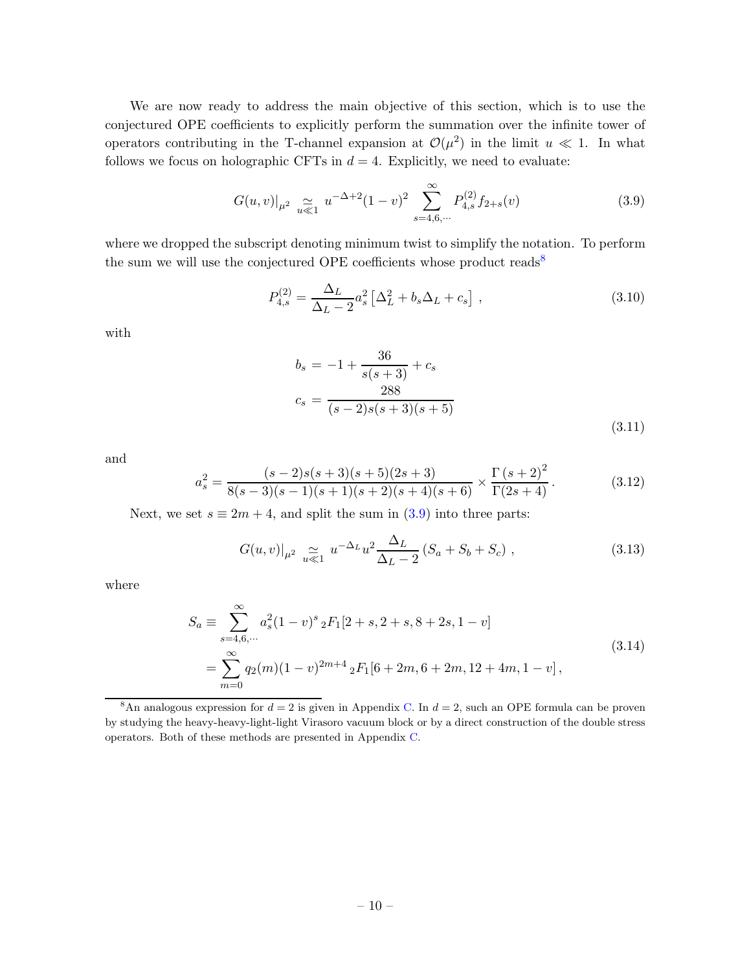We are now ready to address the main objective of this section, which is to use the conjectured OPE coefficients to explicitly perform the summation over the infinite tower of operators contributing in the T-channel expansion at  $\mathcal{O}(\mu^2)$  in the limit  $u \ll 1$ . In what follows we focus on holographic CFTs in  $d = 4$ . Explicitly, we need to evaluate:

<span id="page-10-1"></span>
$$
G(u,v)|_{\mu^2} \underset{u \ll 1}{\simeq} u^{-\Delta+2} (1-v)^2 \sum_{s=4,6,\cdots}^{\infty} P_{4,s}^{(2)} f_{2+s}(v) \tag{3.9}
$$

where we dropped the subscript denoting minimum twist to simplify the notation. To perform the sum we will use the conjectured OPE coefficients whose product reads<sup>[8](#page-10-0)</sup>

<span id="page-10-4"></span>
$$
P_{4,s}^{(2)} = \frac{\Delta_L}{\Delta_L - 2} a_s^2 \left[ \Delta_L^2 + b_s \Delta_L + c_s \right] , \qquad (3.10)
$$

with

<span id="page-10-5"></span>
$$
b_s = -1 + \frac{36}{s(s+3)} + c_s
$$
  

$$
c_s = \frac{288}{(s-2)s(s+3)(s+5)}
$$
 (3.11)

and

$$
a_s^2 = \frac{(s-2)s(s+3)(s+5)(2s+3)}{8(s-3)(s-1)(s+1)(s+2)(s+4)(s+6)} \times \frac{\Gamma(s+2)^2}{\Gamma(2s+4)}.
$$
(3.12)

Next, we set  $s \equiv 2m + 4$ , and split the sum in  $(3.9)$  into three parts:

<span id="page-10-2"></span>
$$
G(u, v)|_{\mu^2} \underset{u \ll 1}{\simeq} u^{-\Delta_L} u^2 \frac{\Delta_L}{\Delta_L - 2} (S_a + S_b + S_c) , \qquad (3.13)
$$

<span id="page-10-3"></span>where

$$
S_a \equiv \sum_{s=4,6,\dots}^{\infty} a_s^2 (1-v)^s {}_2F_1[2+s, 2+s, 8+2s, 1-v]
$$
  
= 
$$
\sum_{m=0}^{\infty} q_2(m)(1-v)^{2m+4} {}_2F_1[6+2m, 6+2m, 12+4m, 1-v],
$$
 (3.14)

<span id="page-10-0"></span><sup>&</sup>lt;sup>8</sup>An analogous expression for  $d = 2$  is given in Appendix [C.](#page-20-0) In  $d = 2$ , such an OPE formula can be proven by studying the heavy-heavy-light-light Virasoro vacuum block or by a direct construction of the double stress operators. Both of these methods are presented in Appendix [C.](#page-20-0)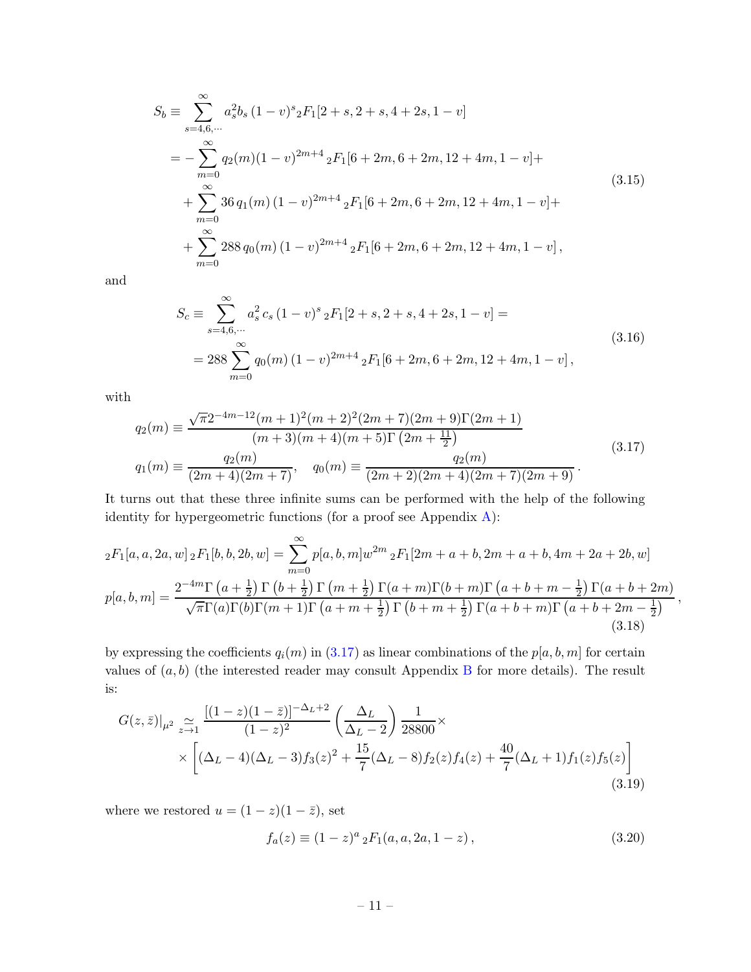<span id="page-11-4"></span>
$$
S_b \equiv \sum_{s=4,6,\cdots}^{\infty} a_s^2 b_s (1-v)^s {}_2F_1[2+s, 2+s, 4+2s, 1-v]
$$
  
=  $-\sum_{m=0}^{\infty} q_2(m)(1-v)^{2m+4} {}_2F_1[6+2m, 6+2m, 12+4m, 1-v] +$   
+  $\sum_{m=0}^{\infty} 36 q_1(m) (1-v)^{2m+4} {}_2F_1[6+2m, 6+2m, 12+4m, 1-v] +$   
+  $\sum_{m=0}^{\infty} 288 q_0(m) (1-v)^{2m+4} {}_2F_1[6+2m, 6+2m, 12+4m, 1-v],$  (3.15)

<span id="page-11-3"></span>and

$$
S_c \equiv \sum_{s=4,6,\cdots}^{\infty} a_s^2 c_s (1-v)^s {}_2F_1[2+s, 2+s, 4+2s, 1-v] =
$$
  
= 288  $\sum_{m=0}^{\infty} q_0(m) (1-v)^{2m+4} {}_2F_1[6+2m, 6+2m, 12+4m, 1-v],$  (3.16)

with

<span id="page-11-0"></span>
$$
q_2(m) \equiv \frac{\sqrt{\pi}2^{-4m-12}(m+1)^2(m+2)^2(2m+7)(2m+9)\Gamma(2m+1)}{(m+3)(m+4)(m+5)\Gamma(2m+\frac{11}{2})}
$$
  
\n
$$
q_1(m) \equiv \frac{q_2(m)}{(2m+4)(2m+7)}, \quad q_0(m) \equiv \frac{q_2(m)}{(2m+2)(2m+4)(2m+7)(2m+9)}.
$$
\n(3.17)

It turns out that these three infinite sums can be performed with the help of the following identity for hypergeometric functions (for a proof see Appendix [A\)](#page-18-0):

<span id="page-11-2"></span>
$$
{}_{2}F_{1}[a,a,2a,w] {}_{2}F_{1}[b,b,2b,w] = \sum_{m=0}^{\infty} p[a,b,m]w^{2m} {}_{2}F_{1}[2m+a+b,2m+a+b,4m+2a+2b,w]
$$
  

$$
p[a,b,m] = \frac{2^{-4m}\Gamma(a+\frac{1}{2})\Gamma(b+\frac{1}{2})\Gamma(m+\frac{1}{2})\Gamma(a+m)\Gamma(b+m)\Gamma(a+b+m-\frac{1}{2})\Gamma(a+b+2m)}{\sqrt{\pi}\Gamma(a)\Gamma(b)\Gamma(m+1)\Gamma(a+m+\frac{1}{2})\Gamma(b+m+\frac{1}{2})\Gamma(a+b+m)\Gamma(a+b+2m-\frac{1}{2})},
$$
\n(3.18)

by expressing the coefficients  $q_i(m)$  in [\(3.17\)](#page-11-0) as linear combinations of the  $p[a, b, m]$  for certain values of  $(a, b)$  (the interested reader may consult Appendix [B](#page-18-1) for more details). The result is:

<span id="page-11-1"></span>
$$
G(z,\bar{z})|_{\mu^2} \underset{z \to 1}{\simeq} \frac{[(1-z)(1-\bar{z})]^{-\Delta_L+2}}{(1-z)^2} \left(\frac{\Delta_L}{\Delta_L-2}\right) \frac{1}{28800} \times \\ \times \left[ (\Delta_L-4)(\Delta_L-3)f_3(z)^2 + \frac{15}{7}(\Delta_L-8)f_2(z)f_4(z) + \frac{40}{7}(\Delta_L+1)f_1(z)f_5(z) \right] \tag{3.19}
$$

where we restored  $u = (1 - z)(1 - \overline{z})$ , set

$$
f_a(z) \equiv (1-z)^a {}_2F_1(a, a, 2a, 1-z), \qquad (3.20)
$$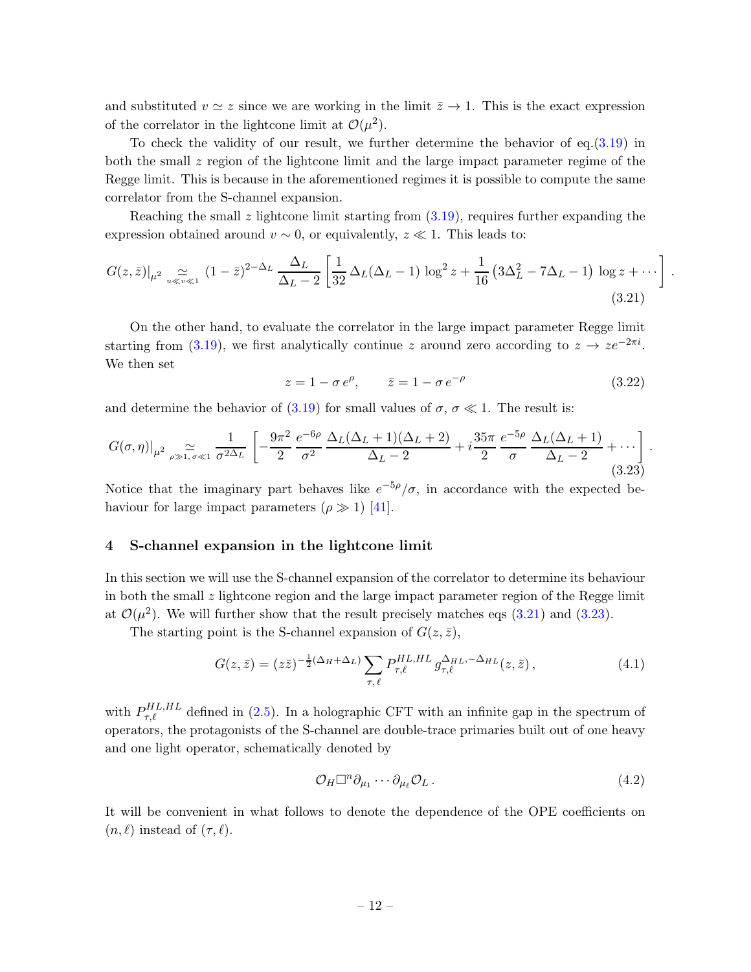and substituted  $v \simeq z$  since we are working in the limit  $\bar{z} \to 1$ . This is the exact expression of the correlator in the lightcone limit at  $\mathcal{O}(\mu^2)$ .

To check the validity of our result, we further determine the behavior of eq.[\(3.19\)](#page-11-1) in both the small z region of the lightcone limit and the large impact parameter regime of the Regge limit. This is because in the aforementioned regimes it is possible to compute the same correlator from the S-channel expansion.

Reaching the small  $z$  lightcone limit starting from  $(3.19)$ , requires further expanding the expression obtained around  $v \sim 0$ , or equivalently,  $z \ll 1$ . This leads to:

<span id="page-12-1"></span>
$$
G(z,\bar{z})|_{\mu^2} \underset{u \ll v \ll 1}{\simeq} (1-\bar{z})^{2-\Delta_L} \frac{\Delta_L}{\Delta_L - 2} \left[ \frac{1}{32} \Delta_L (\Delta_L - 1) \log^2 z + \frac{1}{16} \left( 3\Delta_L^2 - 7\Delta_L - 1 \right) \log z + \cdots \right].
$$
\n(3.21)

On the other hand, to evaluate the correlator in the large impact parameter Regge limit starting from [\(3.19\)](#page-11-1), we first analytically continue z around zero according to  $z \to z e^{-2\pi i}$ . We then set

$$
z = 1 - \sigma e^{\rho}, \qquad \bar{z} = 1 - \sigma e^{-\rho} \tag{3.22}
$$

and determine the behavior of  $(3.19)$  for small values of  $\sigma$ ,  $\sigma \ll 1$ . The result is:

<span id="page-12-2"></span>
$$
G(\sigma,\eta)|_{\mu^2} \underset{\rho \gg 1,\,\sigma \ll 1}{\simeq} \frac{1}{\sigma^{2\Delta_L}} \left[ -\frac{9\pi^2}{2} \frac{e^{-6\rho}}{\sigma^2} \frac{\Delta_L(\Delta_L+1)(\Delta_L+2)}{\Delta_L-2} + i \frac{35\pi}{2} \frac{e^{-5\rho}}{\sigma} \frac{\Delta_L(\Delta_L+1)}{\Delta_L-2} + \cdots \right]. \tag{3.23}
$$

Notice that the imaginary part behaves like  $e^{-5\rho}/\sigma$ , in accordance with the expected behaviour for large impact parameters  $(\rho \gg 1)$  [\[41](#page-27-2)].

### <span id="page-12-0"></span>4 S-channel expansion in the lightcone limit

In this section we will use the S-channel expansion of the correlator to determine its behaviour in both the small  $z$  lightcone region and the large impact parameter region of the Regge limit at  $\mathcal{O}(\mu^2)$ . We will further show that the result precisely matches eqs [\(3.21\)](#page-12-1) and [\(3.23\)](#page-12-2).

The starting point is the S-channel expansion of  $G(z, \bar{z})$ ,

$$
G(z,\bar{z}) = (z\bar{z})^{-\frac{1}{2}(\Delta_H + \Delta_L)} \sum_{\tau,\ell} P_{\tau,\ell}^{HL,HL} g_{\tau,\ell}^{\Delta_{HL}, -\Delta_{HL}}(z,\bar{z}), \qquad (4.1)
$$

with  $P_{\tau,\ell}^{HL,HL}$  defined in [\(2.5\)](#page-7-4). In a holographic CFT with an infinite gap in the spectrum of operators, the protagonists of the S-channel are double-trace primaries built out of one heavy and one light operator, schematically denoted by

$$
\mathcal{O}_H \Box^n \partial_{\mu_1} \cdots \partial_{\mu_\ell} \mathcal{O}_L \,. \tag{4.2}
$$

It will be convenient in what follows to denote the dependence of the OPE coefficients on  $(n, \ell)$  instead of  $(\tau, \ell)$ .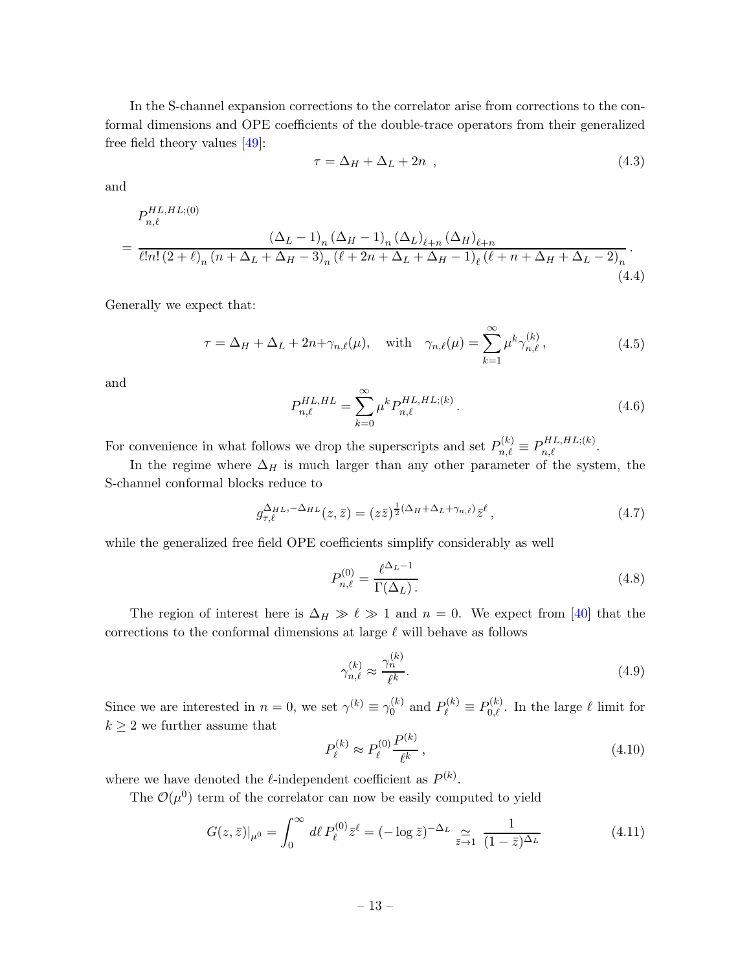In the S-channel expansion corrections to the correlator arise from corrections to the conformal dimensions and OPE coefficients of the double-trace operators from their generalized free field theory values [\[49\]](#page-27-9):

$$
\tau = \Delta_H + \Delta_L + 2n \tag{4.3}
$$

and

$$
P_{n,\ell}^{HL,HL; (0)} = \frac{(\Delta_L - 1)_n (\Delta_H - 1)_n (\Delta_L)_{\ell+n} (\Delta_H)_{\ell+n}}{\ell! n! (2 + \ell)_n (n + \Delta_L + \Delta_H - 3)_n (\ell + 2n + \Delta_L + \Delta_H - 1)_\ell (\ell + n + \Delta_H + \Delta_L - 2)_n}.
$$
\n(4.4)

Generally we expect that:

$$
\tau = \Delta_H + \Delta_L + 2n + \gamma_{n,\ell}(\mu), \quad \text{with} \quad \gamma_{n,\ell}(\mu) = \sum_{k=1}^{\infty} \mu^k \gamma_{n,\ell}^{(k)}, \tag{4.5}
$$

and

$$
P_{n,\ell}^{HL,HL} = \sum_{k=0}^{\infty} \mu^k P_{n,\ell}^{HL,HL;(k)}.
$$
\n(4.6)

For convenience in what follows we drop the superscripts and set  $P_{n,\ell}^{(k)} \equiv P_{n,\ell}^{HL,HL,(k)}$ .

In the regime where  $\Delta_H$  is much larger than any other parameter of the system, the S-channel conformal blocks reduce to

$$
g_{\tau,\ell}^{\Delta_{HL},-\Delta_{HL}}(z,\bar{z}) = (z\bar{z})^{\frac{1}{2}(\Delta_H + \Delta_L + \gamma_{n,\ell})} \bar{z}^{\ell}, \qquad (4.7)
$$

while the generalized free field OPE coefficients simplify considerably as well

<span id="page-13-0"></span>
$$
P_{n,\ell}^{(0)} = \frac{\ell^{\Delta_L - 1}}{\Gamma(\Delta_L)}.
$$
\n(4.8)

The region of interest here is  $\Delta_H \gg \ell \gg 1$  and  $n = 0$ . We expect from [\[40](#page-27-0)] that the corrections to the conformal dimensions at large  $\ell$  will behave as follows

$$
\gamma_{n,\ell}^{(k)} \approx \frac{\gamma_n^{(k)}}{\ell^k}.\tag{4.9}
$$

Since we are interested in  $n = 0$ , we set  $\gamma^{(k)} \equiv \gamma_0^{(k)}$  $Q_0^{(k)}$  and  $P_\ell^{(k)} \equiv P_{0,\ell}^{(k)}$ . In the large  $\ell$  limit for  $k \geq 2$  we further assume that

$$
P_{\ell}^{(k)} \approx P_{\ell}^{(0)} \frac{P^{(k)}}{\ell^k},\tag{4.10}
$$

where we have denoted the  $\ell$ -independent coefficient as  $P^{(k)}$ .

The  $\mathcal{O}(\mu^0)$  term of the correlator can now be easily computed to yield

$$
G(z,\bar{z})|_{\mu^0} = \int_0^\infty d\ell \, P_\ell^{(0)} \bar{z}^\ell = (-\log \bar{z})^{-\Delta_L} \, \underset{\bar{z} \to 1}{\simeq} \, \frac{1}{(1-\bar{z})^{\Delta_L}} \tag{4.11}
$$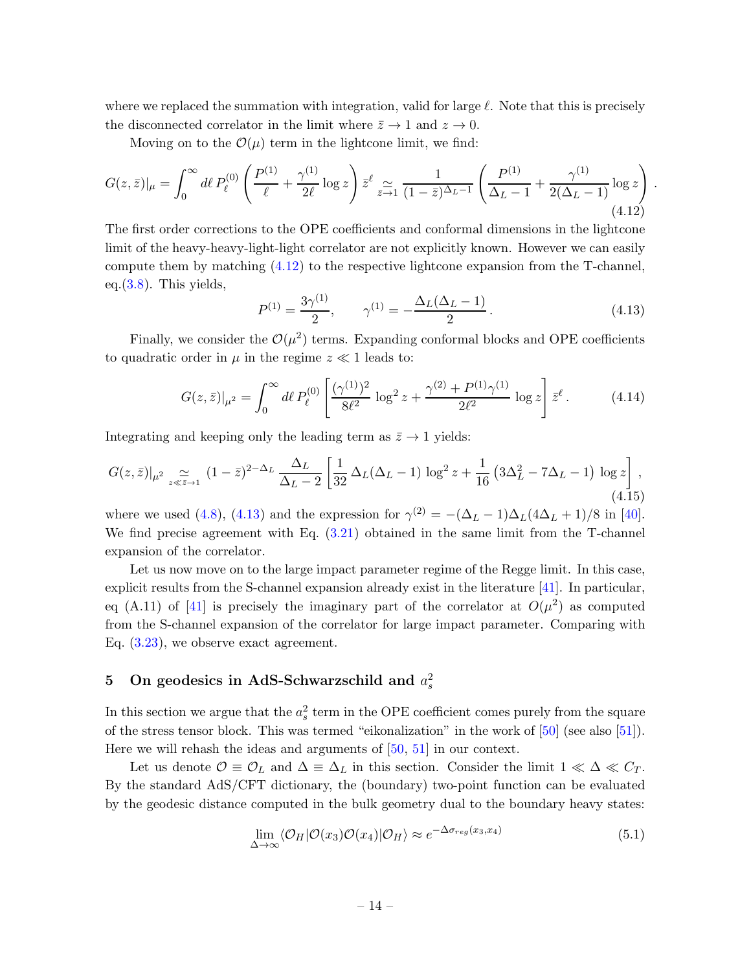where we replaced the summation with integration, valid for large  $\ell$ . Note that this is precisely the disconnected correlator in the limit where  $\bar{z} \to 1$  and  $z \to 0$ .

Moving on to the  $\mathcal{O}(\mu)$  term in the lightcone limit, we find:

<span id="page-14-1"></span>
$$
G(z,\bar{z})|_{\mu} = \int_0^{\infty} d\ell \, P_{\ell}^{(0)} \left( \frac{P^{(1)}}{\ell} + \frac{\gamma^{(1)}}{2\ell} \log z \right) \bar{z}^{\ell} \underset{\bar{z} \to 1}{\simeq} \frac{1}{(1-\bar{z})^{\Delta_L - 1}} \left( \frac{P^{(1)}}{\Delta_L - 1} + \frac{\gamma^{(1)}}{2(\Delta_L - 1)} \log z \right)
$$
\n(4.12)

The first order corrections to the OPE coefficients and conformal dimensions in the lightcone limit of the heavy-heavy-light-light correlator are not explicitly known. However we can easily compute them by matching [\(4.12\)](#page-14-1) to the respective lightcone expansion from the T-channel, eq. $(3.8)$ . This yields,

<span id="page-14-2"></span>
$$
P^{(1)} = \frac{3\gamma^{(1)}}{2}, \qquad \gamma^{(1)} = -\frac{\Delta_L(\Delta_L - 1)}{2}.
$$
\n(4.13)

.

Finally, we consider the  $\mathcal{O}(\mu^2)$  terms. Expanding conformal blocks and OPE coefficients to quadratic order in  $\mu$  in the regime  $z \ll 1$  leads to:

$$
G(z,\bar{z})|_{\mu^2} = \int_0^\infty d\ell \, P_\ell^{(0)} \left[ \frac{(\gamma^{(1)})^2}{8\ell^2} \, \log^2 z + \frac{\gamma^{(2)} + P^{(1)}\gamma^{(1)}}{2\ell^2} \, \log z \right] \bar{z}^\ell \,. \tag{4.14}
$$

Integrating and keeping only the leading term as  $\bar{z} \to 1$  yields:

$$
G(z,\bar{z})|_{\mu^2} \underset{z \ll \bar{z} \to 1}{\simeq} (1-\bar{z})^{2-\Delta_L} \frac{\Delta_L}{\Delta_L - 2} \left[ \frac{1}{32} \Delta_L (\Delta_L - 1) \log^2 z + \frac{1}{16} \left( 3\Delta_L^2 - 7\Delta_L - 1 \right) \log z \right],\tag{4.15}
$$

where we used [\(4.8\)](#page-13-0), [\(4.13\)](#page-14-2) and the expression for  $\gamma^{(2)} = -(\Delta_L - 1)\Delta_L(4\Delta_L + 1)/8$  in [\[40](#page-27-0)]. We find precise agreement with Eq.  $(3.21)$  obtained in the same limit from the T-channel expansion of the correlator.

Let us now move on to the large impact parameter regime of the Regge limit. In this case, explicit results from the S-channel expansion already exist in the literature [\[41](#page-27-2)]. In particular, eq (A.11) of [\[41](#page-27-2)] is precisely the imaginary part of the correlator at  $O(\mu^2)$  as computed from the S-channel expansion of the correlator for large impact parameter. Comparing with Eq. [\(3.23\)](#page-12-2), we observe exact agreement.

# <span id="page-14-0"></span>5 On geodesics in AdS-Schwarzschild and  $a_s^2$

In this section we argue that the  $a_s^2$  term in the OPE coefficient comes purely from the square of the stress tensor block. This was termed "eikonalization" in the work of [\[50](#page-27-10)] (see also [\[51](#page-27-11)]). Here we will rehash the ideas and arguments of [\[50](#page-27-10), [51](#page-27-11)] in our context.

Let us denote  $\mathcal{O} \equiv \mathcal{O}_L$  and  $\Delta \equiv \Delta_L$  in this section. Consider the limit  $1 \ll \Delta \ll C_T$ . By the standard AdS/CFT dictionary, the (boundary) two-point function can be evaluated by the geodesic distance computed in the bulk geometry dual to the boundary heavy states:

$$
\lim_{\Delta \to \infty} \langle \mathcal{O}_H | \mathcal{O}(x_3) \mathcal{O}(x_4) | \mathcal{O}_H \rangle \approx e^{-\Delta \sigma_{reg}(x_3, x_4)} \tag{5.1}
$$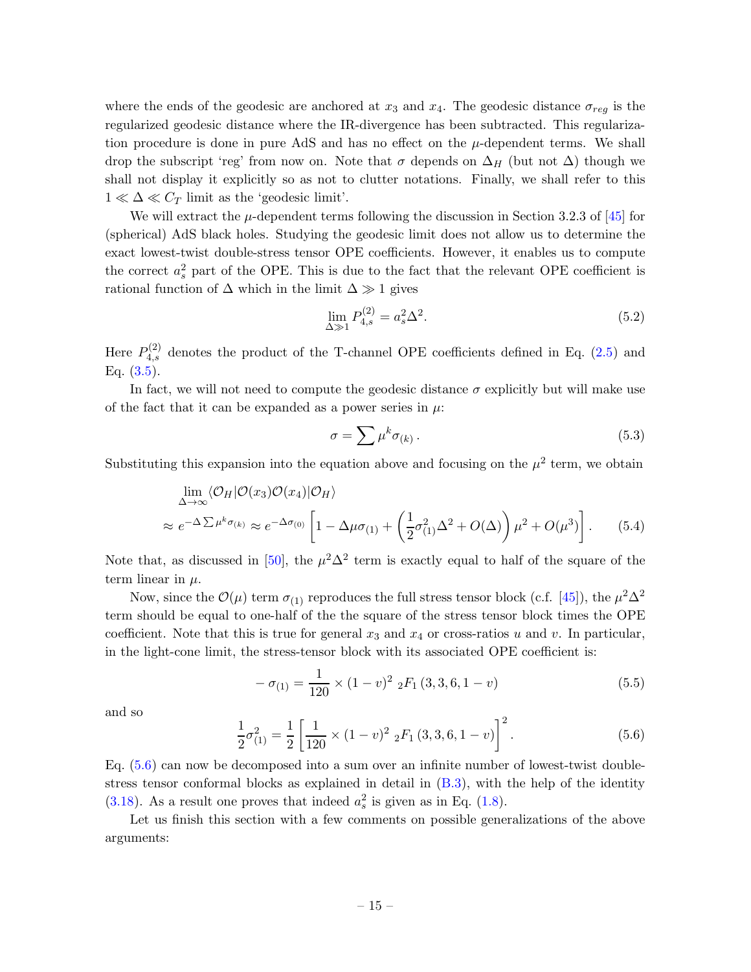where the ends of the geodesic are anchored at  $x_3$  and  $x_4$ . The geodesic distance  $\sigma_{reg}$  is the regularized geodesic distance where the IR-divergence has been subtracted. This regularization procedure is done in pure AdS and has no effect on the  $\mu$ -dependent terms. We shall drop the subscript 'reg' from now on. Note that  $\sigma$  depends on  $\Delta_H$  (but not  $\Delta$ ) though we shall not display it explicitly so as not to clutter notations. Finally, we shall refer to this  $1 \ll \Delta \ll C_T$  limit as the 'geodesic limit'.

We will extract the  $\mu$ -dependent terms following the discussion in Section 3.2.3 of [\[45](#page-27-5)] for (spherical) AdS black holes. Studying the geodesic limit does not allow us to determine the exact lowest-twist double-stress tensor OPE coefficients. However, it enables us to compute the correct  $a_s^2$  part of the OPE. This is due to the fact that the relevant OPE coefficient is rational function of  $\Delta$  which in the limit  $\Delta \gg 1$  gives

$$
\lim_{\Delta \gg 1} P_{4,s}^{(2)} = a_s^2 \Delta^2.
$$
\n(5.2)

Here  $P_{4,s}^{(2)}$  denotes the product of the T-channel OPE coefficients defined in Eq. [\(2.5\)](#page-7-4) and Eq.  $(3.5)$ .

In fact, we will not need to compute the geodesic distance  $\sigma$  explicitly but will make use of the fact that it can be expanded as a power series in  $\mu$ .

<span id="page-15-1"></span>
$$
\sigma = \sum \mu^k \sigma_{(k)} \,. \tag{5.3}
$$

Substituting this expansion into the equation above and focusing on the  $\mu^2$  term, we obtain

$$
\lim_{\Delta \to \infty} \langle \mathcal{O}_H | \mathcal{O}(x_3) \mathcal{O}(x_4) | \mathcal{O}_H \rangle
$$
\n
$$
\approx e^{-\Delta \sum \mu^k \sigma_{(k)}} \approx e^{-\Delta \sigma_{(0)}} \left[ 1 - \Delta \mu \sigma_{(1)} + \left( \frac{1}{2} \sigma_{(1)}^2 \Delta^2 + O(\Delta) \right) \mu^2 + O(\mu^3) \right]. \tag{5.4}
$$

Note that, as discussed in [\[50](#page-27-10)], the  $\mu^2 \Delta^2$  term is exactly equal to half of the square of the term linear in  $\mu$ .

Now, since the  $\mathcal{O}(\mu)$  term  $\sigma_{(1)}$  reproduces the full stress tensor block (c.f. [\[45](#page-27-5)]), the  $\mu^2 \Delta^2$ term should be equal to one-half of the the square of the stress tensor block times the OPE coefficient. Note that this is true for general  $x_3$  and  $x_4$  or cross-ratios u and v. In particular, in the light-cone limit, the stress-tensor block with its associated OPE coefficient is:

$$
-\sigma_{(1)} = \frac{1}{120} \times (1 - v)^2 \, {}_2F_1(3, 3, 6, 1 - v) \tag{5.5}
$$

and so

<span id="page-15-0"></span>
$$
\frac{1}{2}\sigma_{(1)}^2 = \frac{1}{2} \left[ \frac{1}{120} \times (1 - v)^2 \, {}_2F_1(3, 3, 6, 1 - v) \right]^2.
$$
 (5.6)

Eq. [\(5.6\)](#page-15-0) can now be decomposed into a sum over an infinite number of lowest-twist doublestress tensor conformal blocks as explained in detail in [\(B.3\)](#page-19-0), with the help of the identity [\(3.18\)](#page-11-2). As a result one proves that indeed  $a_s^2$  is given as in Eq. [\(1.8\)](#page-5-0).

Let us finish this section with a few comments on possible generalizations of the above arguments: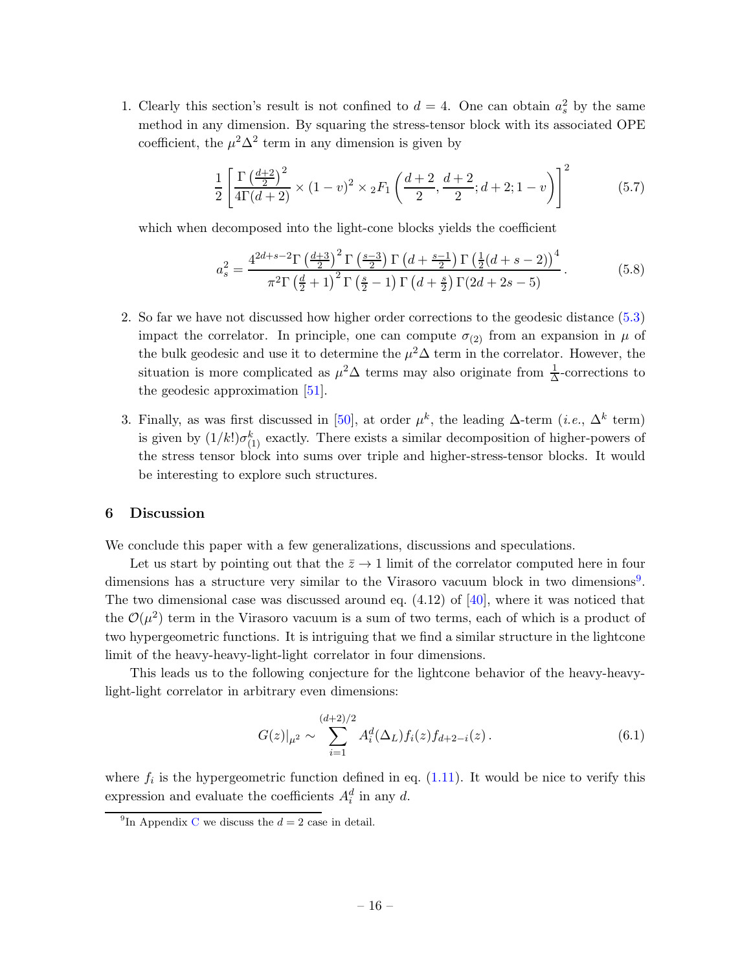1. Clearly this section's result is not confined to  $d = 4$ . One can obtain  $a_s^2$  by the same method in any dimension. By squaring the stress-tensor block with its associated OPE coefficient, the  $\mu^2 \Delta^2$  term in any dimension is given by

$$
\frac{1}{2} \left[ \frac{\Gamma\left(\frac{d+2}{2}\right)^2}{4\Gamma(d+2)} \times (1-v)^2 \times {}_2F_1\left(\frac{d+2}{2}, \frac{d+2}{2}; d+2; 1-v\right) \right]^2 \tag{5.7}
$$

which when decomposed into the light-cone blocks yields the coefficient

$$
a_s^2 = \frac{4^{2d+s-2} \Gamma \left(\frac{d+3}{2}\right)^2 \Gamma \left(\frac{s-3}{2}\right) \Gamma \left(d+\frac{s-1}{2}\right) \Gamma \left(\frac{1}{2}(d+s-2)\right)^4}{\pi^2 \Gamma \left(\frac{d}{2}+1\right)^2 \Gamma \left(\frac{s}{2}-1\right) \Gamma \left(d+\frac{s}{2}\right) \Gamma (2d+2s-5)}.
$$
(5.8)

- 2. So far we have not discussed how higher order corrections to the geodesic distance [\(5.3\)](#page-15-1) impact the correlator. In principle, one can compute  $\sigma_{(2)}$  from an expansion in  $\mu$  of the bulk geodesic and use it to determine the  $\mu^2\Delta$  term in the correlator. However, the situation is more complicated as  $\mu^2 \Delta$  terms may also originate from  $\frac{1}{\Delta}$ -corrections to the geodesic approximation [\[51](#page-27-11)].
- 3. Finally, as was first discussed in [\[50](#page-27-10)], at order  $\mu^k$ , the leading  $\Delta$ -term (*i.e.*,  $\Delta^k$  term) is given by  $(1/k!) \sigma_{(1)}^k$  exactly. There exists a similar decomposition of higher-powers of the stress tensor block into sums over triple and higher-stress-tensor blocks. It would be interesting to explore such structures.

### <span id="page-16-0"></span>6 Discussion

We conclude this paper with a few generalizations, discussions and speculations.

Let us start by pointing out that the  $\bar{z} \to 1$  limit of the correlator computed here in four dimensions has a structure very similar to the Virasoro vacuum block in two dimensions<sup>[9](#page-16-1)</sup>. The two dimensional case was discussed around eq.  $(4.12)$  of  $[40]$ , where it was noticed that the  $\mathcal{O}(\mu^2)$  term in the Virasoro vacuum is a sum of two terms, each of which is a product of two hypergeometric functions. It is intriguing that we find a similar structure in the lightcone limit of the heavy-heavy-light-light correlator in four dimensions.

This leads us to the following conjecture for the lightcone behavior of the heavy-heavylight-light correlator in arbitrary even dimensions:

$$
G(z)|_{\mu^2} \sim \sum_{i=1}^{(d+2)/2} A_i^d(\Delta_L) f_i(z) f_{d+2-i}(z).
$$
 (6.1)

where  $f_i$  is the hypergeometric function defined in eq.  $(1.11)$ . It would be nice to verify this expression and evaluate the coefficients  $A_i^d$  in any d.

<span id="page-16-1"></span><sup>&</sup>lt;sup>9</sup>In Appendix [C](#page-20-0) we discuss the  $d = 2$  case in detail.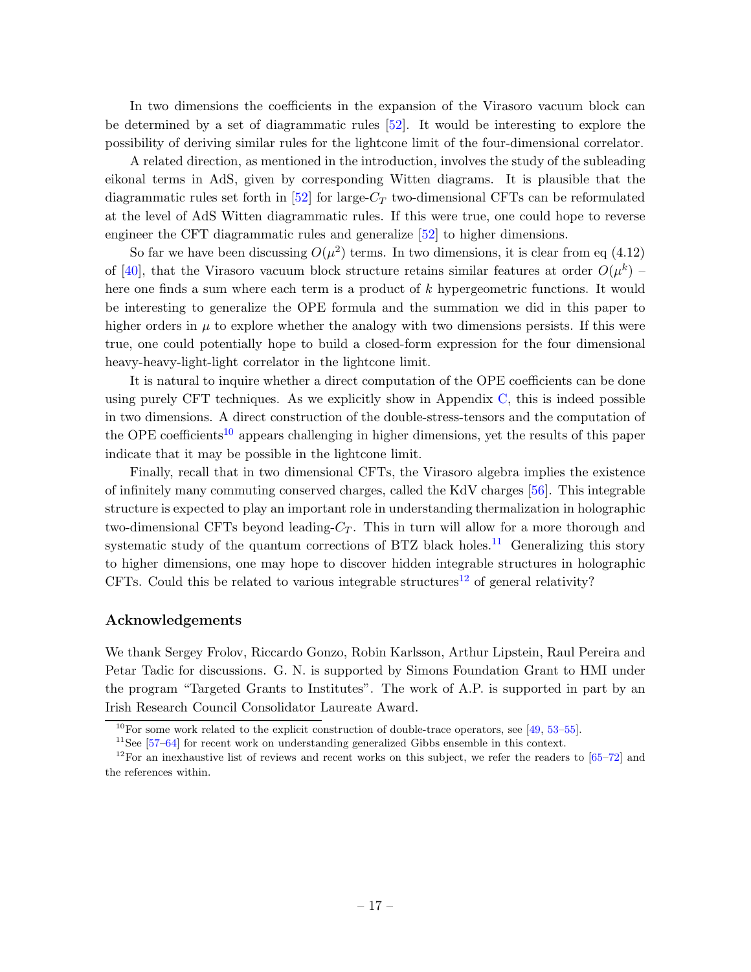In two dimensions the coefficients in the expansion of the Virasoro vacuum block can be determined by a set of diagrammatic rules [\[52](#page-27-12)]. It would be interesting to explore the possibility of deriving similar rules for the lightcone limit of the four-dimensional correlator.

A related direction, as mentioned in the introduction, involves the study of the subleading eikonal terms in AdS, given by corresponding Witten diagrams. It is plausible that the diagrammatic rules set forth in [\[52](#page-27-12)] for large- $C_T$  two-dimensional CFTs can be reformulated at the level of AdS Witten diagrammatic rules. If this were true, one could hope to reverse engineer the CFT diagrammatic rules and generalize [\[52\]](#page-27-12) to higher dimensions.

So far we have been discussing  $O(\mu^2)$  terms. In two dimensions, it is clear from eq (4.12) of [\[40\]](#page-27-0), that the Virasoro vacuum block structure retains similar features at order  $O(\mu^k)$  – here one finds a sum where each term is a product of k hypergeometric functions. It would be interesting to generalize the OPE formula and the summation we did in this paper to higher orders in  $\mu$  to explore whether the analogy with two dimensions persists. If this were true, one could potentially hope to build a closed-form expression for the four dimensional heavy-heavy-light-light correlator in the lightcone limit.

It is natural to inquire whether a direct computation of the OPE coefficients can be done using purely CFT techniques. As we explicitly show in Appendix [C,](#page-20-0) this is indeed possible in two dimensions. A direct construction of the double-stress-tensors and the computation of the OPE coefficients<sup>[10](#page-17-0)</sup> appears challenging in higher dimensions, yet the results of this paper indicate that it may be possible in the lightcone limit.

Finally, recall that in two dimensional CFTs, the Virasoro algebra implies the existence of infinitely many commuting conserved charges, called the KdV charges [\[56](#page-28-0)]. This integrable structure is expected to play an important role in understanding thermalization in holographic two-dimensional CFTs beyond leading- $C_T$ . This in turn will allow for a more thorough and systematic study of the quantum corrections of BTZ black holes.<sup>[11](#page-17-1)</sup> Generalizing this story to higher dimensions, one may hope to discover hidden integrable structures in holographic CFTs. Could this be related to various integrable structures<sup>[12](#page-17-2)</sup> of general relativity?

### Acknowledgements

We thank Sergey Frolov, Riccardo Gonzo, Robin Karlsson, Arthur Lipstein, Raul Pereira and Petar Tadic for discussions. G. N. is supported by Simons Foundation Grant to HMI under the program "Targeted Grants to Institutes". The work of A.P. is supported in part by an Irish Research Council Consolidator Laureate Award.

<sup>&</sup>lt;sup>10</sup>For some work related to the explicit construction of double-trace operators, see [\[49,](#page-27-9) [53](#page-27-13)[–55](#page-28-1)].

<span id="page-17-1"></span><span id="page-17-0"></span> $11$ See [\[57](#page-28-2)[–64](#page-28-3)] for recent work on understanding generalized Gibbs ensemble in this context.

<span id="page-17-2"></span> $12$ For an inexhaustive list of reviews and recent works on this subject, we refer the readers to  $[65-72]$  and the references within.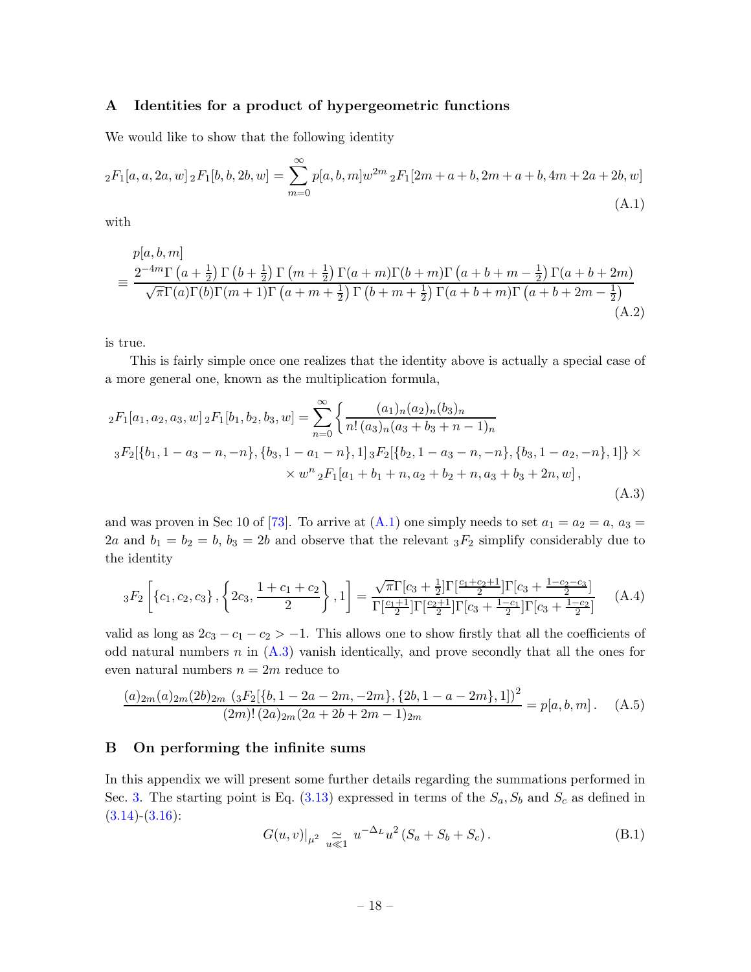### <span id="page-18-0"></span>A Identities for a product of hypergeometric functions

We would like to show that the following identity

<span id="page-18-2"></span>
$$
{}_2F_1[a,a,2a,w] \, {}_2F_1[b,b,2b,w] = \sum_{m=0}^{\infty} p[a,b,m]w^{2m} \, {}_2F_1[2m+a+b,2m+a+b,4m+2a+2b,w]
$$
\n(A.1)

with

$$
p[a,b,m]
$$
  
= 
$$
\frac{2^{-4m}\Gamma(a+\frac{1}{2})\Gamma(b+\frac{1}{2})\Gamma(m+\frac{1}{2})\Gamma(a+m)\Gamma(b+m)\Gamma(a+b+m-\frac{1}{2})\Gamma(a+b+2m)}{\sqrt{\pi}\Gamma(a)\Gamma(b)\Gamma(m+1)\Gamma(a+m+\frac{1}{2})\Gamma(b+m+\frac{1}{2})\Gamma(a+b+m)\Gamma(a+b+2m-\frac{1}{2})}
$$
  
(A.2)

is true.

This is fairly simple once one realizes that the identity above is actually a special case of a more general one, known as the multiplication formula,

<span id="page-18-3"></span>
$$
{}_{2}F_{1}[a_{1}, a_{2}, a_{3}, w] {}_{2}F_{1}[b_{1}, b_{2}, b_{3}, w] = \sum_{n=0}^{\infty} \left\{ \frac{(a_{1})_{n}(a_{2})_{n}(b_{3})_{n}}{n! (a_{3})_{n}(a_{3} + b_{3} + n - 1)_{n}} \right\}
$$
  

$$
{}_{3}F_{2}[\{b_{1}, 1 - a_{3} - n, -n\}, \{b_{3}, 1 - a_{1} - n\}, 1] {}_{3}F_{2}[\{b_{2}, 1 - a_{3} - n, -n\}, \{b_{3}, 1 - a_{2}, -n\}, 1] \right\} \times \times w^{n} {}_{2}F_{1}[a_{1} + b_{1} + n, a_{2} + b_{2} + n, a_{3} + b_{3} + 2n, w],
$$
\n(A.3)

and was proven in Sec 10 of [\[73](#page-29-1)]. To arrive at  $(A.1)$  one simply needs to set  $a_1 = a_2 = a$ ,  $a_3 = a_4 = a_5$ 2a and  $b_1 = b_2 = b$ ,  $b_3 = 2b$  and observe that the relevant  ${}_3F_2$  simplify considerably due to the identity

$$
{}_3F_2\left[\left\{c_1,c_2,c_3\right\},\left\{2c_3,\frac{1+c_1+c_2}{2}\right\},1\right] = \frac{\sqrt{\pi}\Gamma[c_3+\frac{1}{2}]\Gamma[\frac{c_1+c_2+1}{2}]\Gamma[c_3+\frac{1-c_2-c_3}{2}]}{\Gamma[\frac{c_1+1}{2}]\Gamma[\frac{c_2+1}{2}]\Gamma[c_3+\frac{1-c_1}{2}]\Gamma[c_3+\frac{1-c_2}{2}]}\tag{A.4}
$$

valid as long as  $2c_3 - c_1 - c_2 > -1$ . This allows one to show firstly that all the coefficients of odd natural numbers  $n$  in  $(A.3)$  vanish identically, and prove secondly that all the ones for even natural numbers  $n = 2m$  reduce to

$$
\frac{(a)_{2m}(a)_{2m}(2b)_{2m}(3F_2[\{b, 1-2a-2m, -2m\}, \{2b, 1-a-2m\}, 1])^2}{(2m)!(2a)_{2m}(2a+2b+2m-1)_{2m}} = p[a, b, m].
$$
 (A.5)

### <span id="page-18-1"></span>B On performing the infinite sums

In this appendix we will present some further details regarding the summations performed in Sec. [3.](#page-8-0) The starting point is Eq.  $(3.13)$  expressed in terms of the  $S_a$ ,  $S_b$  and  $S_c$  as defined in  $(3.14)-(3.16)$  $(3.14)-(3.16)$  $(3.14)-(3.16)$ :

$$
G(u, v)|_{\mu^2} \underset{u \ll 1}{\simeq} u^{-\Delta_L} u^2 (S_a + S_b + S_c).
$$
 (B.1)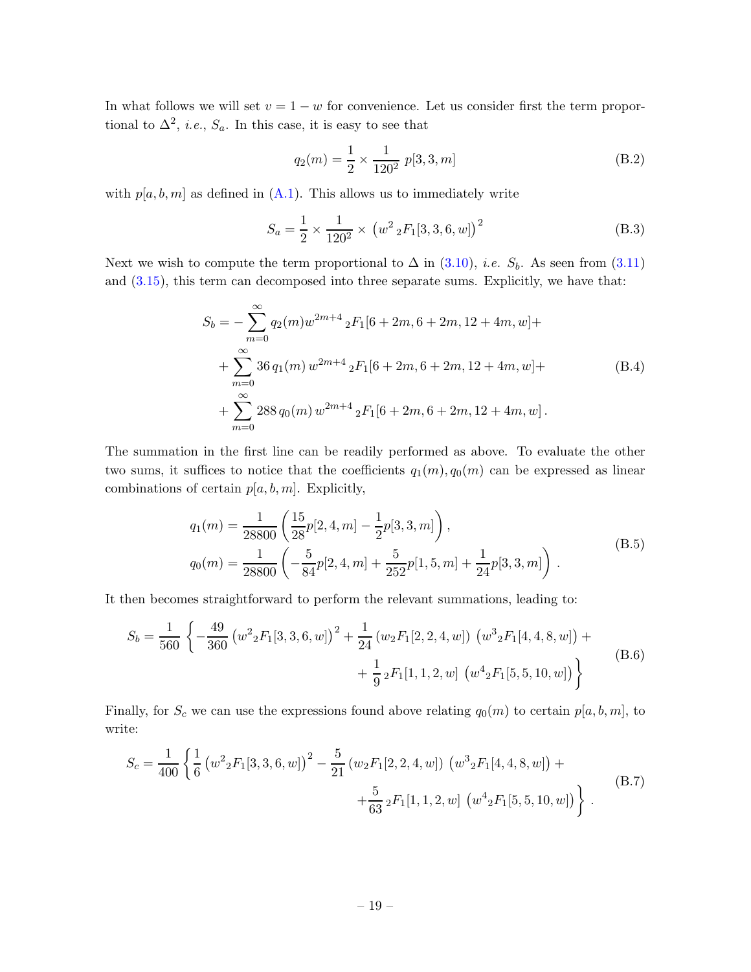In what follows we will set  $v = 1 - w$  for convenience. Let us consider first the term proportional to  $\Delta^2$ , *i.e.*,  $S_a$ . In this case, it is easy to see that

$$
q_2(m) = \frac{1}{2} \times \frac{1}{120^2} \ p[3, 3, m] \tag{B.2}
$$

with  $p[a, b, m]$  as defined in  $(A.1)$ . This allows us to immediately write

<span id="page-19-0"></span>
$$
S_a = \frac{1}{2} \times \frac{1}{120^2} \times (w^2 {}_2F_1[3, 3, 6, w])^2
$$
 (B.3)

Next we wish to compute the term proportional to  $\Delta$  in [\(3.10\)](#page-10-4), *i.e.*  $S_b$ . As seen from [\(3.11\)](#page-10-5) and [\(3.15\)](#page-11-4), this term can decomposed into three separate sums. Explicitly, we have that:

$$
S_b = -\sum_{m=0}^{\infty} q_2(m)w^{2m+4} {}_2F_1[6+2m, 6+2m, 12+4m, w] +
$$
  
+
$$
\sum_{m=0}^{\infty} 36 q_1(m) w^{2m+4} {}_2F_1[6+2m, 6+2m, 12+4m, w] +
$$
  
+
$$
\sum_{m=0}^{\infty} 288 q_0(m) w^{2m+4} {}_2F_1[6+2m, 6+2m, 12+4m, w].
$$
 (B.4)

The summation in the first line can be readily performed as above. To evaluate the other two sums, it suffices to notice that the coefficients  $q_1(m), q_0(m)$  can be expressed as linear combinations of certain  $p[a, b, m]$ . Explicitly,

$$
q_1(m) = \frac{1}{28800} \left( \frac{15}{28} p[2, 4, m] - \frac{1}{2} p[3, 3, m] \right),
$$
  
\n
$$
q_0(m) = \frac{1}{28800} \left( -\frac{5}{84} p[2, 4, m] + \frac{5}{252} p[1, 5, m] + \frac{1}{24} p[3, 3, m] \right).
$$
\n(B.5)

It then becomes straightforward to perform the relevant summations, leading to:

$$
S_b = \frac{1}{560} \left\{ -\frac{49}{360} \left( w^2 {}_2F_1[3,3,6,w] \right)^2 + \frac{1}{24} \left( w_2 F_1[2,2,4,w] \right) \left( w^3 {}_2F_1[4,4,8,w] \right) + \frac{1}{9} {}_2F_1[1,1,2,w] \left( w^4 {}_2F_1[5,5,10,w] \right) \right\}
$$
(B.6)

Finally, for  $S_c$  we can use the expressions found above relating  $q_0(m)$  to certain  $p[a, b, m]$ , to write:

$$
S_c = \frac{1}{400} \left\{ \frac{1}{6} \left( w^2 {}_2F_1[3,3,6,w] \right)^2 - \frac{5}{21} \left( w_2 F_1[2,2,4,w] \right) \left( w^3 {}_2F_1[4,4,8,w] \right) + \\ + \frac{5}{63} {}_2F_1[1,1,2,w] \left( w^4 {}_2F_1[5,5,10,w] \right) \right\} .
$$
 (B.7)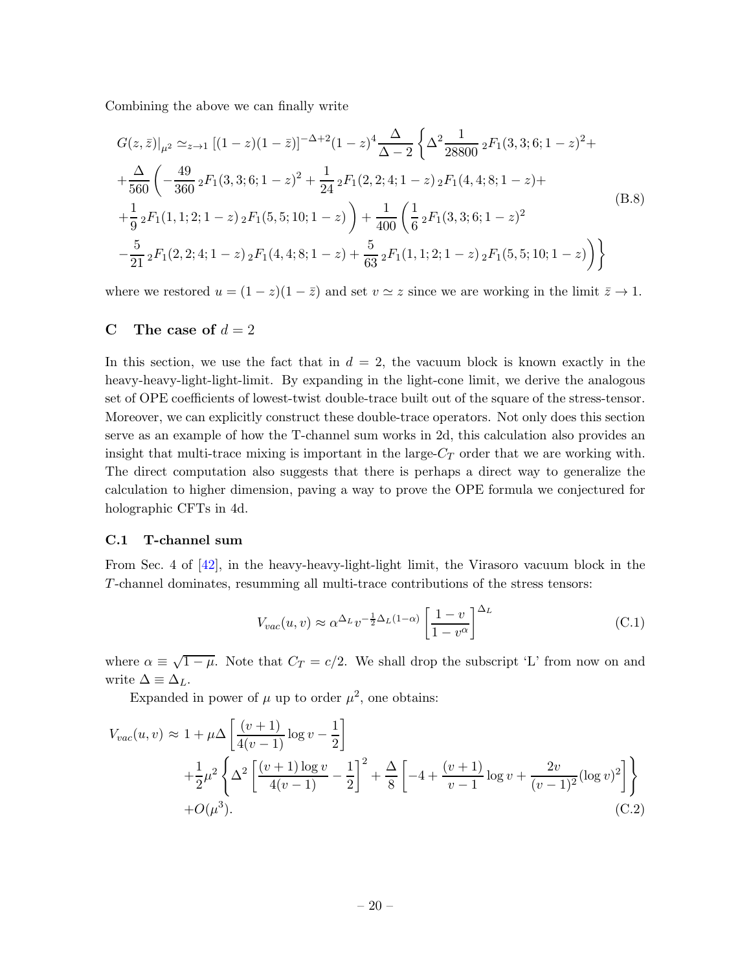Combining the above we can finally write

$$
G(z,\bar{z})|_{\mu^{2}} \simeq_{z\to1} [(1-z)(1-\bar{z})]^{-\Delta+2} (1-z)^{4} \frac{\Delta}{\Delta-2} \left\{ \Delta^{2} \frac{1}{28800} {}_{2}F_{1}(3,3;6;1-z)^{2} + \frac{\Delta}{560} \left( -\frac{49}{360} {}_{2}F_{1}(3,3;6;1-z)^{2} + \frac{1}{24} {}_{2}F_{1}(2,2;4;1-z) {}_{2}F_{1}(4,4;8;1-z) + \frac{1}{9} {}_{2}F_{1}(1,1;2;1-z) {}_{2}F_{1}(5,5;10;1-z) \right) + \frac{1}{400} \left( \frac{1}{6} {}_{2}F_{1}(3,3;6;1-z)^{2} - \frac{5}{21} {}_{2}F_{1}(2,2;4;1-z) {}_{2}F_{1}(4,4;8;1-z) + \frac{5}{63} {}_{2}F_{1}(1,1;2;1-z) {}_{2}F_{1}(5,5;10;1-z) \right) \right\}
$$
\n(B.8)

<span id="page-20-0"></span>where we restored  $u = (1 - z)(1 - \overline{z})$  and set  $v \approx z$  since we are working in the limit  $\overline{z} \to 1$ .

# C The case of  $d = 2$

In this section, we use the fact that in  $d = 2$ , the vacuum block is known exactly in the heavy-heavy-light-light-limit. By expanding in the light-cone limit, we derive the analogous set of OPE coefficients of lowest-twist double-trace built out of the square of the stress-tensor. Moreover, we can explicitly construct these double-trace operators. Not only does this section serve as an example of how the T-channel sum works in 2d, this calculation also provides an insight that multi-trace mixing is important in the large- $C_T$  order that we are working with. The direct computation also suggests that there is perhaps a direct way to generalize the calculation to higher dimension, paving a way to prove the OPE formula we conjectured for holographic CFTs in 4d.

## C.1 T-channel sum

From Sec. 4 of [\[42](#page-27-3)], in the heavy-heavy-light-light limit, the Virasoro vacuum block in the T-channel dominates, resumming all multi-trace contributions of the stress tensors:

$$
V_{vac}(u,v) \approx \alpha^{\Delta_L} v^{-\frac{1}{2}\Delta_L(1-\alpha)} \left[\frac{1-v}{1-v^{\alpha}}\right]^{\Delta_L}
$$
 (C.1)

where  $\alpha \equiv \sqrt{1-\mu}$ . Note that  $C_T = c/2$ . We shall drop the subscript 'L' from now on and write  $\Delta \equiv \Delta_L$ .

Expanded in power of  $\mu$  up to order  $\mu^2$ , one obtains:

$$
V_{vac}(u,v) \approx 1 + \mu \Delta \left[ \frac{(v+1)}{4(v-1)} \log v - \frac{1}{2} \right]
$$
  
+  $\frac{1}{2} \mu^2 \left\{ \Delta^2 \left[ \frac{(v+1)\log v}{4(v-1)} - \frac{1}{2} \right]^2 + \frac{\Delta}{8} \left[ -4 + \frac{(v+1)}{v-1} \log v + \frac{2v}{(v-1)^2} (\log v)^2 \right] \right\}$   
+  $O(\mu^3).$  (C.2)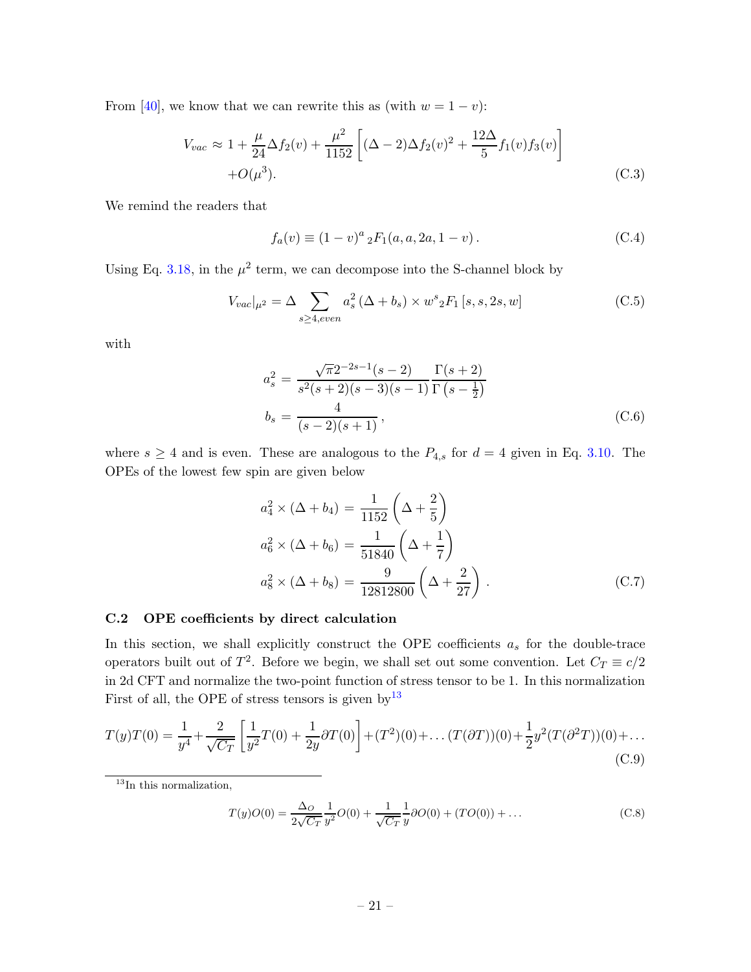From [\[40](#page-27-0)], we know that we can rewrite this as (with  $w = 1 - v$ ):

$$
V_{vac} \approx 1 + \frac{\mu}{24} \Delta f_2(v) + \frac{\mu^2}{1152} \left[ (\Delta - 2) \Delta f_2(v)^2 + \frac{12 \Delta}{5} f_1(v) f_3(v) \right] + O(\mu^3).
$$
 (C.3)

We remind the readers that

$$
f_a(v) \equiv (1 - v)^a {}_2F_1(a, a, 2a, 1 - v).
$$
 (C.4)

Using Eq. [3.18,](#page-11-2) in the  $\mu^2$  term, we can decompose into the S-channel block by

$$
V_{vac}|_{\mu^2} = \Delta \sum_{s \ge 4, even} a_s^2 (\Delta + b_s) \times w^s {}_2F_1 [s, s, 2s, w]
$$
 (C.5)

with

$$
a_s^2 = \frac{\sqrt{\pi}2^{-2s-1}(s-2)}{s^2(s+2)(s-3)(s-1)} \frac{\Gamma(s+2)}{\Gamma(s-\frac{1}{2})}
$$
  

$$
b_s = \frac{4}{(s-2)(s+1)},
$$
 (C.6)

where  $s \geq 4$  and is even. These are analogous to the  $P_{4,s}$  for  $d = 4$  given in Eq. [3.10.](#page-10-4) The OPEs of the lowest few spin are given below

<span id="page-21-2"></span>
$$
a_4^2 \times (\Delta + b_4) = \frac{1}{1152} \left( \Delta + \frac{2}{5} \right)
$$
  
\n
$$
a_6^2 \times (\Delta + b_6) = \frac{1}{51840} \left( \Delta + \frac{1}{7} \right)
$$
  
\n
$$
a_8^2 \times (\Delta + b_8) = \frac{9}{12812800} \left( \Delta + \frac{2}{27} \right).
$$
\n(C.7)

### C.2 OPE coefficients by direct calculation

In this section, we shall explicitly construct the OPE coefficients  $a_s$  for the double-trace operators built out of  $T^2$ . Before we begin, we shall set out some convention. Let  $C_T \equiv c/2$ in 2d CFT and normalize the two-point function of stress tensor to be 1. In this normalization First of all, the OPE of stress tensors is given by  $13$ 

<span id="page-21-1"></span>
$$
T(y)T(0) = \frac{1}{y^4} + \frac{2}{\sqrt{C_T}} \left[ \frac{1}{y^2} T(0) + \frac{1}{2y} \partial T(0) \right] + (T^2)(0) + \dots (T(\partial T))(0) + \frac{1}{2} y^2 (T(\partial^2 T))(0) + \dots
$$
\n(C.9)

<span id="page-21-0"></span> $13$ In this normalization,

$$
T(y)O(0) = \frac{\Delta_O}{2\sqrt{C_T}} \frac{1}{y^2} O(0) + \frac{1}{\sqrt{C_T}} \frac{1}{y} \partial O(0) + (TO(0)) + \dots
$$
 (C.8)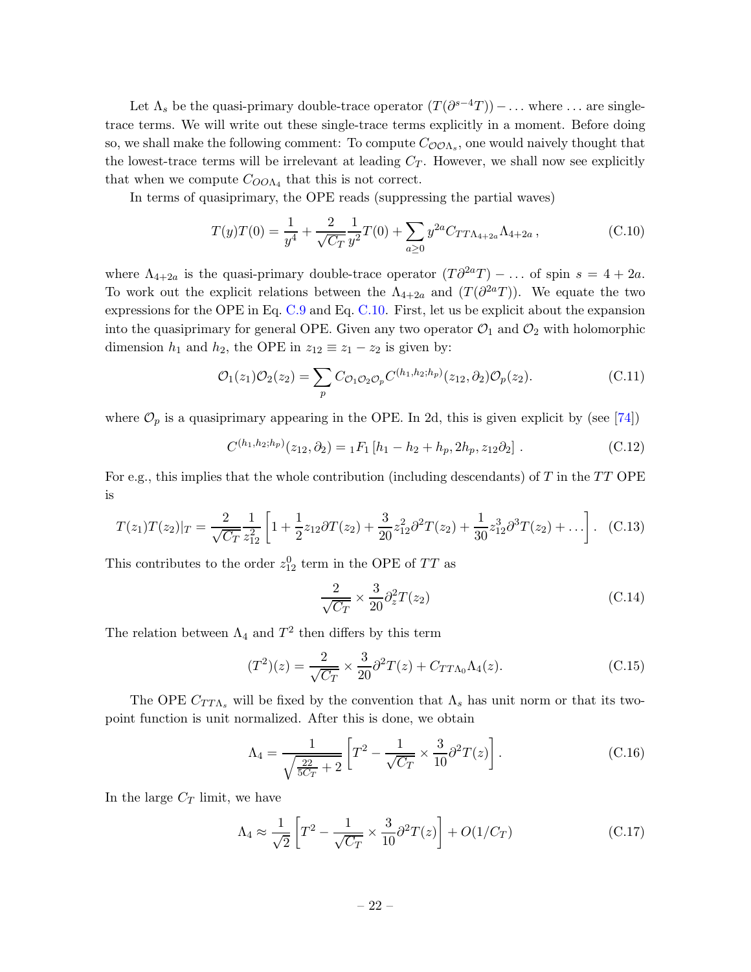Let  $\Lambda_s$  be the quasi-primary double-trace operator  $(T(\partial^{s-4}T))$  – ... where ... are singletrace terms. We will write out these single-trace terms explicitly in a moment. Before doing so, we shall make the following comment: To compute  $C_{\mathcal{O} \mathcal{O} \Lambda_s}$ , one would naively thought that the lowest-trace terms will be irrelevant at leading  $C_T$ . However, we shall now see explicitly that when we compute  $C_{OO\Lambda_4}$  that this is not correct.

In terms of quasiprimary, the OPE reads (suppressing the partial waves)

<span id="page-22-0"></span>
$$
T(y)T(0) = \frac{1}{y^4} + \frac{2}{\sqrt{C_T}} \frac{1}{y^2} T(0) + \sum_{a \ge 0} y^{2a} C_{TT\Lambda_{4+2a}} \Lambda_{4+2a} , \qquad (C.10)
$$

where  $\Lambda_{4+2a}$  is the quasi-primary double-trace operator  $(T\partial^{2a}T)$  – ... of spin  $s = 4 + 2a$ . To work out the explicit relations between the  $\Lambda_{4+2a}$  and  $(T(\partial^{2a}T))$ . We equate the two expressions for the OPE in Eq. [C.9](#page-21-1) and Eq. [C.10.](#page-22-0) First, let us be explicit about the expansion into the quasiprimary for general OPE. Given any two operator  $\mathcal{O}_1$  and  $\mathcal{O}_2$  with holomorphic dimension  $h_1$  and  $h_2$ , the OPE in  $z_{12} \equiv z_1 - z_2$  is given by:

$$
\mathcal{O}_1(z_1)\mathcal{O}_2(z_2) = \sum_p C_{\mathcal{O}_1\mathcal{O}_2\mathcal{O}_p} C^{(h_1, h_2; h_p)}(z_{12}, \partial_2) \mathcal{O}_p(z_2).
$$
\n(C.11)

where  $\mathcal{O}_p$  is a quasiprimary appearing in the OPE. In 2d, this is given explicit by (see [\[74\]](#page-29-2))

$$
C^{(h_1, h_2; h_p)}(z_{12}, \partial_2) = {}_1F_1[h_1 - h_2 + h_p, 2h_p, z_{12}\partial_2].
$$
\n(C.12)

For e.g., this implies that the whole contribution (including descendants) of T in the TT OPE is

$$
T(z_1)T(z_2)|_T = \frac{2}{\sqrt{C_T}} \frac{1}{z_{12}^2} \left[ 1 + \frac{1}{2} z_{12} \partial T(z_2) + \frac{3}{20} z_{12}^2 \partial^2 T(z_2) + \frac{1}{30} z_{12}^3 \partial^3 T(z_2) + \dots \right].
$$
 (C.13)

This contributes to the order  $z_{12}^0$  term in the OPE of TT as

$$
\frac{2}{\sqrt{C_T}} \times \frac{3}{20} \partial_z^2 T(z_2)
$$
\n(C.14)

The relation between  $\Lambda_4$  and  $T^2$  then differs by this term

$$
(T^{2})(z) = \frac{2}{\sqrt{C_{T}}} \times \frac{3}{20} \partial^{2} T(z) + C_{TT\Lambda_{0}} \Lambda_{4}(z).
$$
 (C.15)

The OPE  $C_{TT\Lambda_s}$  will be fixed by the convention that  $\Lambda_s$  has unit norm or that its twopoint function is unit normalized. After this is done, we obtain

$$
\Lambda_4 = \frac{1}{\sqrt{\frac{22}{5C_T} + 2}} \left[ T^2 - \frac{1}{\sqrt{C_T}} \times \frac{3}{10} \partial^2 T(z) \right].
$$
 (C.16)

In the large  $C_T$  limit, we have

$$
\Lambda_4 \approx \frac{1}{\sqrt{2}} \left[ T^2 - \frac{1}{\sqrt{C_T}} \times \frac{3}{10} \partial^2 T(z) \right] + O(1/C_T) \tag{C.17}
$$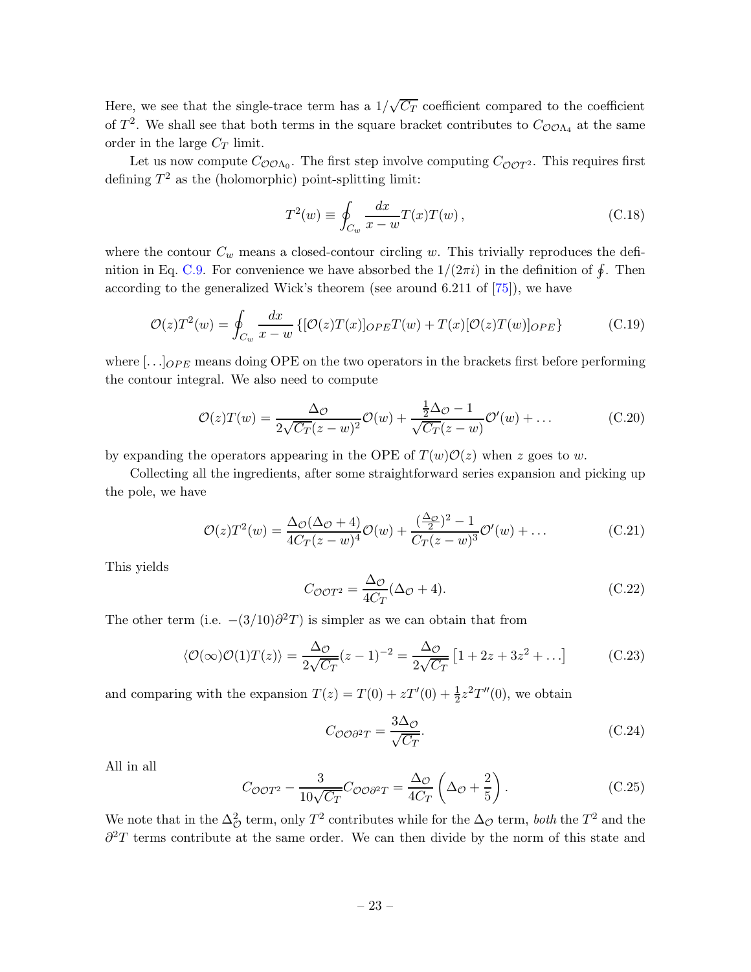Here, we see that the single-trace term has a  $1/\sqrt{C_T}$  coefficient compared to the coefficient of  $T^2$ . We shall see that both terms in the square bracket contributes to  $C_{\mathcal{O}O\Lambda_4}$  at the same order in the large  $C_T$  limit.

Let us now compute  $C_{\mathcal{O} \mathcal{O} \Lambda_0}$ . The first step involve computing  $C_{\mathcal{O} \mathcal{O} T^2}$ . This requires first defining  $T^2$  as the (holomorphic) point-splitting limit:

$$
T^2(w) \equiv \oint_{C_w} \frac{dx}{x - w} T(x) T(w) , \qquad (C.18)
$$

where the contour  $C_w$  means a closed-contour circling w. This trivially reproduces the defi-nition in Eq. [C.9.](#page-21-1) For convenience we have absorbed the  $1/(2\pi i)$  in the definition of  $\oint$ . Then according to the generalized Wick's theorem (see around 6.211 of [\[75\]](#page-29-3)), we have

$$
\mathcal{O}(z)T^2(w) = \oint_{C_w} \frac{dx}{x - w} \left\{ [\mathcal{O}(z)T(x)]_{OPE}T(w) + T(x)[\mathcal{O}(z)T(w)]_{OPE} \right\}
$$
(C.19)

where  $[\ldots]_{OPE}$  means doing OPE on the two operators in the brackets first before performing the contour integral. We also need to compute

$$
\mathcal{O}(z)T(w) = \frac{\Delta \phi}{2\sqrt{C_T}(z-w)^2}\mathcal{O}(w) + \frac{\frac{1}{2}\Delta \phi - 1}{\sqrt{C_T}(z-w)}\mathcal{O}'(w) + \dots
$$
 (C.20)

by expanding the operators appearing in the OPE of  $T(w)\mathcal{O}(z)$  when z goes to w.

Collecting all the ingredients, after some straightforward series expansion and picking up the pole, we have

$$
\mathcal{O}(z)T^2(w) = \frac{\Delta_{\mathcal{O}}(\Delta_{\mathcal{O}}+4)}{4C_T(z-w)^4}\mathcal{O}(w) + \frac{(\frac{\Delta_{\mathcal{O}}}{2})^2 - 1}{C_T(z-w)^3}\mathcal{O}'(w) + \dots
$$
\n(C.21)

This yields

$$
C_{\mathcal{O}OT^2} = \frac{\Delta_{\mathcal{O}}}{4C_T} (\Delta_{\mathcal{O}} + 4). \tag{C.22}
$$

The other term (i.e.  $-(3/10)\partial^2 T$ ) is simpler as we can obtain that from

$$
\langle \mathcal{O}(\infty)\mathcal{O}(1)T(z)\rangle = \frac{\Delta_{\mathcal{O}}}{2\sqrt{C_T}}(z-1)^{-2} = \frac{\Delta_{\mathcal{O}}}{2\sqrt{C_T}}\left[1+2z+3z^2+\ldots\right]
$$
(C.23)

and comparing with the expansion  $T(z) = T(0) + zT'(0) + \frac{1}{2}z^2T''(0)$ , we obtain

$$
C_{\mathcal{O}\mathcal{O}\partial^2 T} = \frac{3\Delta_{\mathcal{O}}}{\sqrt{C_T}}.\tag{C.24}
$$

All in all

$$
C_{\mathcal{O}OT^2} - \frac{3}{10\sqrt{C_T}} C_{\mathcal{O}O\partial^2 T} = \frac{\Delta_{\mathcal{O}}}{4C_T} \left(\Delta_{\mathcal{O}} + \frac{2}{5}\right). \tag{C.25}
$$

We note that in the  $\Delta^2_{\mathcal{O}}$  term, only  $T^2$  contributes while for the  $\Delta_{\mathcal{O}}$  term, *both* the  $T^2$  and the  $\partial^2 T$  terms contribute at the same order. We can then divide by the norm of this state and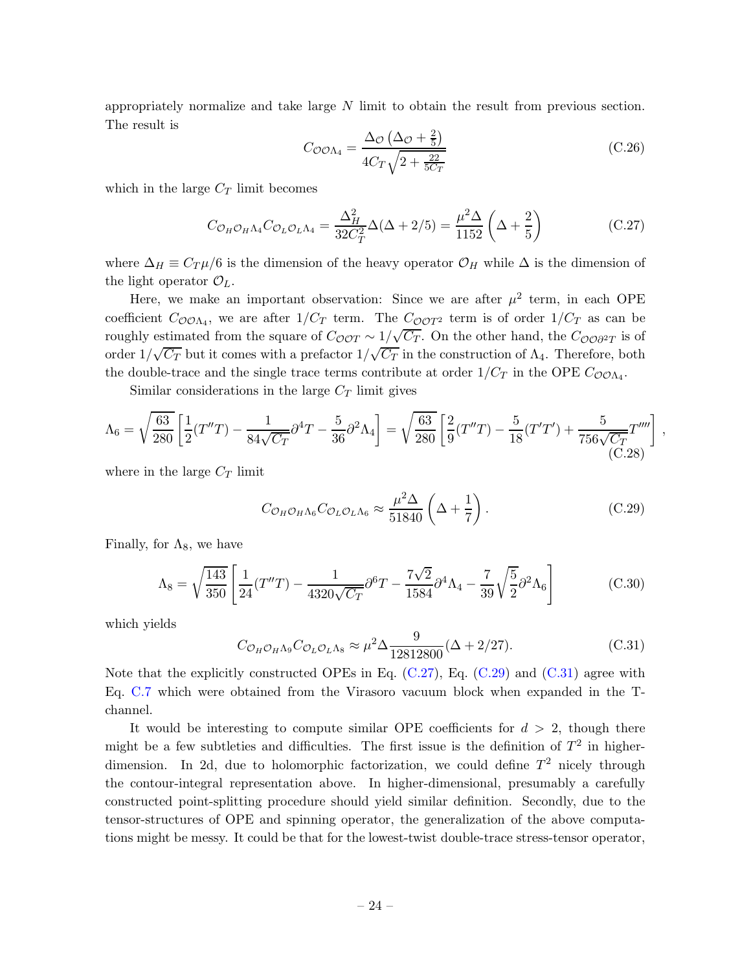appropriately normalize and take large N limit to obtain the result from previous section. The result is

$$
C_{\mathcal{O}\mathcal{O}\Lambda_4} = \frac{\Delta_{\mathcal{O}}\left(\Delta_{\mathcal{O}} + \frac{2}{5}\right)}{4C_T\sqrt{2 + \frac{22}{5C_T}}}
$$
(C.26)

which in the large  $C_T$  limit becomes

<span id="page-24-0"></span>
$$
C_{\mathcal{O}_H \mathcal{O}_H \Lambda_4} C_{\mathcal{O}_L \mathcal{O}_L \Lambda_4} = \frac{\Delta_H^2}{32 C_T^2} \Delta(\Delta + 2/5) = \frac{\mu^2 \Delta}{1152} \left(\Delta + \frac{2}{5}\right)
$$
 (C.27)

where  $\Delta_H \equiv C_T \mu/6$  is the dimension of the heavy operator  $\mathcal{O}_H$  while  $\Delta$  is the dimension of the light operator  $\mathcal{O}_L$ .

Here, we make an important observation: Since we are after  $\mu^2$  term, in each OPE coefficient  $C_{\mathcal{O} \mathcal{O} \Lambda_4}$ , we are after  $1/C_T$  term. The  $C_{\mathcal{O} \mathcal{O} T^2}$  term is of order  $1/C_T$  as can be roughly estimated from the square of  $C_{\mathcal{O}OT} \sim 1/\sqrt{C_T}$ . On the other hand, the  $C_{\mathcal{O}O\partial^2T}$  is of order  $1/\sqrt{C_T}$  but it comes with a prefactor  $1/\sqrt{C_T}$  in the construction of  $\Lambda_4$ . Therefore, both the double-trace and the single trace terms contribute at order  $1/C_T$  in the OPE  $C_{\mathcal{O}O\Lambda_4}$ .

Similar considerations in the large  $C_T$  limit gives

$$
\Lambda_6 = \sqrt{\frac{63}{280}} \left[ \frac{1}{2} (T''T) - \frac{1}{84\sqrt{C_T}} \partial^4 T - \frac{5}{36} \partial^2 \Lambda_4 \right] = \sqrt{\frac{63}{280}} \left[ \frac{2}{9} (T''T) - \frac{5}{18} (T'T') + \frac{5}{756\sqrt{C_T}} T''' \right],
$$
\n(C.28)

where in the large  $C_T$  limit

<span id="page-24-1"></span>
$$
C_{\mathcal{O}_H \mathcal{O}_H \Lambda_6} C_{\mathcal{O}_L \mathcal{O}_L \Lambda_6} \approx \frac{\mu^2 \Delta}{51840} \left( \Delta + \frac{1}{7} \right). \tag{C.29}
$$

Finally, for  $\Lambda_8$ , we have

$$
\Lambda_8 = \sqrt{\frac{143}{350}} \left[ \frac{1}{24} (T''T) - \frac{1}{4320\sqrt{C_T}} \partial^6 T - \frac{7\sqrt{2}}{1584} \partial^4 \Lambda_4 - \frac{7}{39} \sqrt{\frac{5}{2}} \partial^2 \Lambda_6 \right]
$$
(C.30)

which yields

<span id="page-24-2"></span>
$$
C_{\mathcal{O}_H \mathcal{O}_H \Lambda_9} C_{\mathcal{O}_L \mathcal{O}_L \Lambda_8} \approx \mu^2 \Delta \frac{9}{12812800} (\Delta + 2/27). \tag{C.31}
$$

Note that the explicitly constructed OPEs in Eq.  $(C.27)$ , Eq.  $(C.29)$  and  $(C.31)$  agree with Eq. [C.7](#page-21-2) which were obtained from the Virasoro vacuum block when expanded in the Tchannel.

It would be interesting to compute similar OPE coefficients for  $d > 2$ , though there might be a few subtleties and difficulties. The first issue is the definition of  $T^2$  in higherdimension. In 2d, due to holomorphic factorization, we could define  $T^2$  nicely through the contour-integral representation above. In higher-dimensional, presumably a carefully constructed point-splitting procedure should yield similar definition. Secondly, due to the tensor-structures of OPE and spinning operator, the generalization of the above computations might be messy. It could be that for the lowest-twist double-trace stress-tensor operator,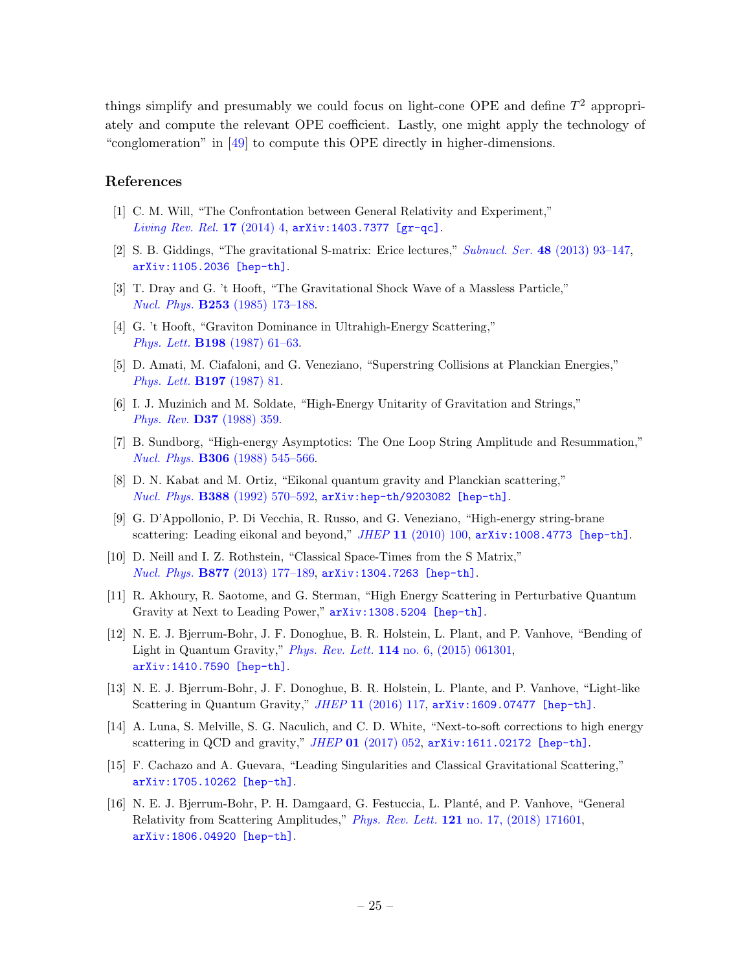things simplify and presumably we could focus on light-cone OPE and define  $T^2$  appropriately and compute the relevant OPE coefficient. Lastly, one might apply the technology of "conglomeration" in [\[49\]](#page-27-9) to compute this OPE directly in higher-dimensions.

### References

- <span id="page-25-0"></span>[1] C. M. Will, "The Confrontation between General Relativity and Experiment," *[Living Rev. Rel.](http://dx.doi.org/10.12942/lrr-2014-4)* 17 (2014) 4, [arXiv:1403.7377 \[gr-qc\]](http://arxiv.org/abs/1403.7377).
- <span id="page-25-1"></span>[2] S. B. Giddings, "The gravitational S-matrix: Erice lectures," *Subnucl. Ser.* 48 [\(2013\) 93–147,](http://dx.doi.org/10.1142/9789814522489_0005) [arXiv:1105.2036 \[hep-th\]](http://arxiv.org/abs/1105.2036).
- <span id="page-25-2"></span>[3] T. Dray and G. 't Hooft, "The Gravitational Shock Wave of a Massless Particle," *Nucl. Phys.* B253 [\(1985\) 173–188.](http://dx.doi.org/10.1016/0550-3213(85)90525-5)
- <span id="page-25-4"></span>[4] G. 't Hooft, "Graviton Dominance in Ultrahigh-Energy Scattering," *Phys. Lett.* B198 [\(1987\) 61–63.](http://dx.doi.org/10.1016/0370-2693(87)90159-6)
- [5] D. Amati, M. Ciafaloni, and G. Veneziano, "Superstring Collisions at Planckian Energies," *[Phys. Lett.](http://dx.doi.org/10.1016/0370-2693(87)90346-7)* B197 (1987) 81.
- [6] I. J. Muzinich and M. Soldate, "High-Energy Unitarity of Gravitation and Strings," *Phys. Rev.* D37 [\(1988\) 359.](http://dx.doi.org/10.1103/PhysRevD.37.359)
- <span id="page-25-3"></span>[7] B. Sundborg, "High-energy Asymptotics: The One Loop String Amplitude and Resummation," *Nucl. Phys.* B306 [\(1988\) 545–566.](http://dx.doi.org/10.1016/0550-3213(88)90014-4)
- <span id="page-25-5"></span>[8] D. N. Kabat and M. Ortiz, "Eikonal quantum gravity and Planckian scattering," *Nucl. Phys.* B388 [\(1992\) 570–592,](http://dx.doi.org/10.1016/0550-3213(92)90627-N) [arXiv:hep-th/9203082 \[hep-th\]](http://arxiv.org/abs/hep-th/9203082).
- [9] G. D'Appollonio, P. Di Vecchia, R. Russo, and G. Veneziano, "High-energy string-brane scattering: Leading eikonal and beyond," *JHEP* 11 [\(2010\) 100,](http://dx.doi.org/10.1007/JHEP11(2010)100) [arXiv:1008.4773 \[hep-th\]](http://arxiv.org/abs/1008.4773).
- [10] D. Neill and I. Z. Rothstein, "Classical Space-Times from the S Matrix," *Nucl. Phys.* B877 [\(2013\) 177–189,](http://dx.doi.org/10.1016/j.nuclphysb.2013.09.007) [arXiv:1304.7263 \[hep-th\]](http://arxiv.org/abs/1304.7263).
- [11] R. Akhoury, R. Saotome, and G. Sterman, "High Energy Scattering in Perturbative Quantum Gravity at Next to Leading Power,"  $arXiv:1308.5204$  [hep-th].
- [12] N. E. J. Bjerrum-Bohr, J. F. Donoghue, B. R. Holstein, L. Plant, and P. Vanhove, "Bending of Light in Quantum Gravity," *Phys. Rev. Lett.* 114 [no. 6, \(2015\) 061301,](http://dx.doi.org/10.1103/PhysRevLett.114.061301) [arXiv:1410.7590 \[hep-th\]](http://arxiv.org/abs/1410.7590).
- [13] N. E. J. Bjerrum-Bohr, J. F. Donoghue, B. R. Holstein, L. Plante, and P. Vanhove, "Light-like Scattering in Quantum Gravity," *JHEP* 11 [\(2016\) 117,](http://dx.doi.org/10.1007/JHEP11(2016)117) [arXiv:1609.07477 \[hep-th\]](http://arxiv.org/abs/1609.07477).
- [14] A. Luna, S. Melville, S. G. Naculich, and C. D. White, "Next-to-soft corrections to high energy scattering in QCD and gravity," *JHEP* 01 [\(2017\) 052,](http://dx.doi.org/10.1007/JHEP01(2017)052) [arXiv:1611.02172 \[hep-th\]](http://arxiv.org/abs/1611.02172).
- [15] F. Cachazo and A. Guevara, "Leading Singularities and Classical Gravitational Scattering," [arXiv:1705.10262 \[hep-th\]](http://arxiv.org/abs/1705.10262).
- [16] N. E. J. Bjerrum-Bohr, P. H. Damgaard, G. Festuccia, L. Plant´e, and P. Vanhove, "General Relativity from Scattering Amplitudes," *Phys. Rev. Lett.* 121 [no. 17, \(2018\) 171601,](http://dx.doi.org/10.1103/PhysRevLett.121.171601) [arXiv:1806.04920 \[hep-th\]](http://arxiv.org/abs/1806.04920).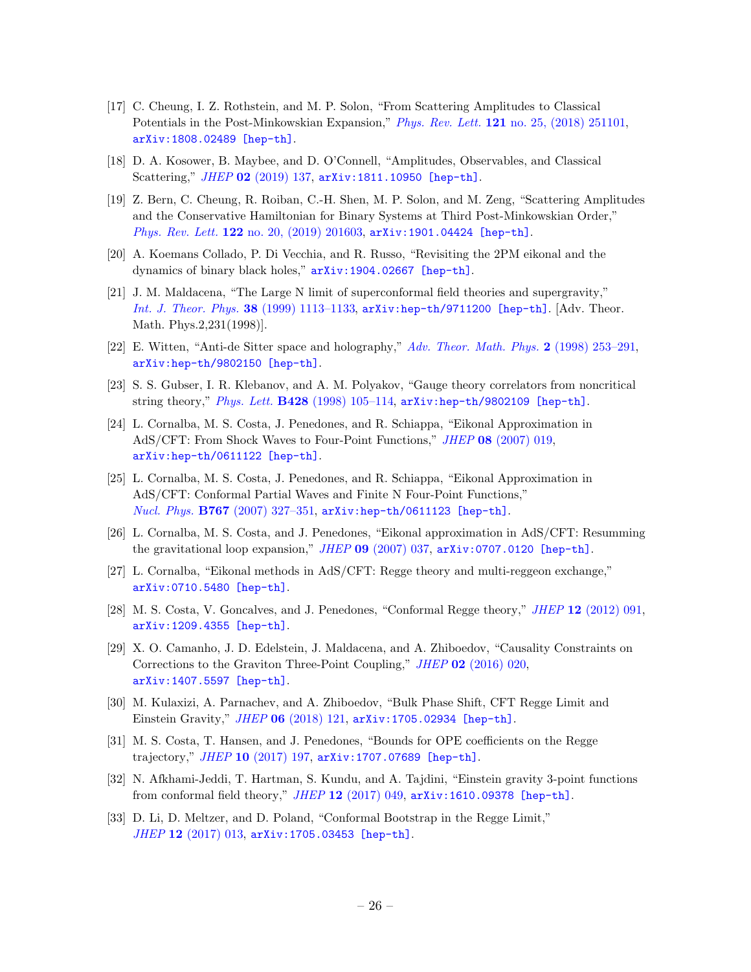- [17] C. Cheung, I. Z. Rothstein, and M. P. Solon, "From Scattering Amplitudes to Classical Potentials in the Post-Minkowskian Expansion," *Phys. Rev. Lett.* 121 [no. 25, \(2018\) 251101,](http://dx.doi.org/10.1103/PhysRevLett.121.251101) [arXiv:1808.02489 \[hep-th\]](http://arxiv.org/abs/1808.02489).
- [18] D. A. Kosower, B. Maybee, and D. O'Connell, "Amplitudes, Observables, and Classical Scattering," *JHEP* 02 [\(2019\) 137,](http://dx.doi.org/10.1007/JHEP02(2019)137) [arXiv:1811.10950 \[hep-th\]](http://arxiv.org/abs/1811.10950).
- [19] Z. Bern, C. Cheung, R. Roiban, C.-H. Shen, M. P. Solon, and M. Zeng, "Scattering Amplitudes and the Conservative Hamiltonian for Binary Systems at Third Post-Minkowskian Order," *Phys. Rev. Lett.* 122 [no. 20, \(2019\) 201603,](http://dx.doi.org/10.1103/PhysRevLett.122.201603) [arXiv:1901.04424 \[hep-th\]](http://arxiv.org/abs/1901.04424).
- <span id="page-26-0"></span>[20] A. Koemans Collado, P. Di Vecchia, and R. Russo, "Revisiting the 2PM eikonal and the dynamics of binary black holes," [arXiv:1904.02667 \[hep-th\]](http://arxiv.org/abs/1904.02667).
- <span id="page-26-1"></span>[21] J. M. Maldacena, "The Large N limit of superconformal field theories and supergravity," *[Int. J. Theor. Phys.](http://dx.doi.org/10.1023/A:1026654312961, 10.4310/ATMP.1998.v2.n2.a1)* 38 (1999) 1113–1133, [arXiv:hep-th/9711200 \[hep-th\]](http://arxiv.org/abs/hep-th/9711200). [Adv. Theor. Math. Phys.2,231(1998)].
- [22] E. Witten, "Anti-de Sitter space and holography," *[Adv. Theor. Math. Phys.](http://dx.doi.org/10.4310/ATMP.1998.v2.n2.a2)* 2 (1998) 253–291, [arXiv:hep-th/9802150 \[hep-th\]](http://arxiv.org/abs/hep-th/9802150).
- <span id="page-26-2"></span>[23] S. S. Gubser, I. R. Klebanov, and A. M. Polyakov, "Gauge theory correlators from noncritical string theory," *Phys. Lett.* B428 [\(1998\) 105–114,](http://dx.doi.org/10.1016/S0370-2693(98)00377-3) [arXiv:hep-th/9802109 \[hep-th\]](http://arxiv.org/abs/hep-th/9802109).
- <span id="page-26-3"></span>[24] L. Cornalba, M. S. Costa, J. Penedones, and R. Schiappa, "Eikonal Approximation in AdS/CFT: From Shock Waves to Four-Point Functions," *JHEP* 08 [\(2007\) 019,](http://dx.doi.org/10.1088/1126-6708/2007/08/019) [arXiv:hep-th/0611122 \[hep-th\]](http://arxiv.org/abs/hep-th/0611122).
- [25] L. Cornalba, M. S. Costa, J. Penedones, and R. Schiappa, "Eikonal Approximation in AdS/CFT: Conformal Partial Waves and Finite N Four-Point Functions," *Nucl. Phys.* B767 [\(2007\) 327–351,](http://dx.doi.org/10.1016/j.nuclphysb.2007.01.007) [arXiv:hep-th/0611123 \[hep-th\]](http://arxiv.org/abs/hep-th/0611123).
- [26] L. Cornalba, M. S. Costa, and J. Penedones, "Eikonal approximation in AdS/CFT: Resumming the gravitational loop expansion," *JHEP* 09 [\(2007\) 037,](http://dx.doi.org/10.1088/1126-6708/2007/09/037) [arXiv:0707.0120 \[hep-th\]](http://arxiv.org/abs/0707.0120).
- [27] L. Cornalba, "Eikonal methods in AdS/CFT: Regge theory and multi-reggeon exchange," [arXiv:0710.5480 \[hep-th\]](http://arxiv.org/abs/0710.5480).
- <span id="page-26-4"></span>[28] M. S. Costa, V. Goncalves, and J. Penedones, "Conformal Regge theory," *JHEP* 12 [\(2012\) 091,](http://dx.doi.org/10.1007/JHEP12(2012)091) [arXiv:1209.4355 \[hep-th\]](http://arxiv.org/abs/1209.4355).
- <span id="page-26-5"></span>[29] X. O. Camanho, J. D. Edelstein, J. Maldacena, and A. Zhiboedov, "Causality Constraints on Corrections to the Graviton Three-Point Coupling," *JHEP* 02 [\(2016\) 020,](http://dx.doi.org/10.1007/JHEP02(2016)020) [arXiv:1407.5597 \[hep-th\]](http://arxiv.org/abs/1407.5597).
- <span id="page-26-6"></span>[30] M. Kulaxizi, A. Parnachev, and A. Zhiboedov, "Bulk Phase Shift, CFT Regge Limit and Einstein Gravity," *JHEP* 06 [\(2018\) 121,](http://dx.doi.org/10.1007/JHEP06(2018)121) [arXiv:1705.02934 \[hep-th\]](http://arxiv.org/abs/1705.02934).
- <span id="page-26-7"></span>[31] M. S. Costa, T. Hansen, and J. Penedones, "Bounds for OPE coefficients on the Regge trajectory," *JHEP* 10 [\(2017\) 197,](http://dx.doi.org/10.1007/JHEP10(2017)197) [arXiv:1707.07689 \[hep-th\]](http://arxiv.org/abs/1707.07689).
- <span id="page-26-8"></span>[32] N. Afkhami-Jeddi, T. Hartman, S. Kundu, and A. Tajdini, "Einstein gravity 3-point functions from conformal field theory," *JHEP* 12 [\(2017\) 049,](http://dx.doi.org/10.1007/JHEP12(2017)049) [arXiv:1610.09378 \[hep-th\]](http://arxiv.org/abs/1610.09378).
- [33] D. Li, D. Meltzer, and D. Poland, "Conformal Bootstrap in the Regge Limit," *JHEP* 12 [\(2017\) 013,](http://dx.doi.org/10.1007/JHEP12(2017)013) [arXiv:1705.03453 \[hep-th\]](http://arxiv.org/abs/1705.03453).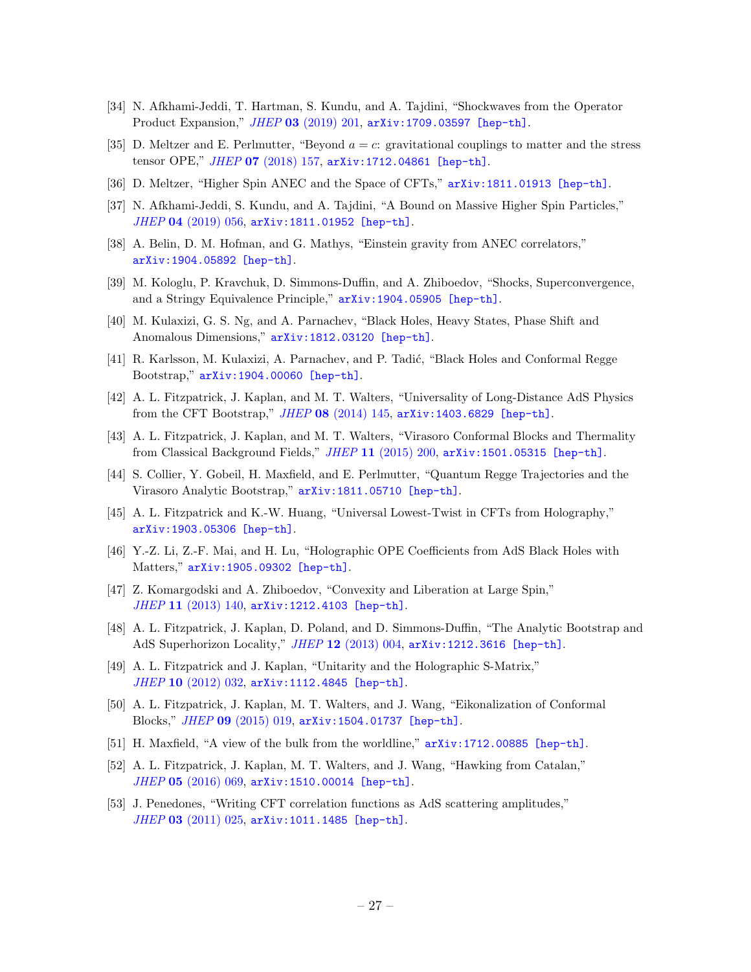- [34] N. Afkhami-Jeddi, T. Hartman, S. Kundu, and A. Tajdini, "Shockwaves from the Operator Product Expansion," *JHEP* 03 [\(2019\) 201,](http://dx.doi.org/10.1007/JHEP03(2019)201) [arXiv:1709.03597 \[hep-th\]](http://arxiv.org/abs/1709.03597).
- [35] D. Meltzer and E. Perlmutter, "Beyond  $a = c$ : gravitational couplings to matter and the stress tensor OPE," *JHEP* 07 [\(2018\) 157,](http://dx.doi.org/10.1007/JHEP07(2018)157) [arXiv:1712.04861 \[hep-th\]](http://arxiv.org/abs/1712.04861).
- [36] D. Meltzer, "Higher Spin ANEC and the Space of CFTs," [arXiv:1811.01913 \[hep-th\]](http://arxiv.org/abs/1811.01913).
- [37] N. Afkhami-Jeddi, S. Kundu, and A. Tajdini, "A Bound on Massive Higher Spin Particles," *JHEP* 04 [\(2019\) 056,](http://dx.doi.org/10.1007/JHEP04(2019)056) [arXiv:1811.01952 \[hep-th\]](http://arxiv.org/abs/1811.01952).
- [38] A. Belin, D. M. Hofman, and G. Mathys, "Einstein gravity from ANEC correlators," [arXiv:1904.05892 \[hep-th\]](http://arxiv.org/abs/1904.05892).
- <span id="page-27-1"></span>[39] M. Kologlu, P. Kravchuk, D. Simmons-Duffin, and A. Zhiboedov, "Shocks, Superconvergence, and a Stringy Equivalence Principle," [arXiv:1904.05905 \[hep-th\]](http://arxiv.org/abs/1904.05905).
- <span id="page-27-0"></span>[40] M. Kulaxizi, G. S. Ng, and A. Parnachev, "Black Holes, Heavy States, Phase Shift and Anomalous Dimensions," [arXiv:1812.03120 \[hep-th\]](http://arxiv.org/abs/1812.03120).
- <span id="page-27-2"></span>[41] R. Karlsson, M. Kulaxizi, A. Parnachev, and P. Tadić, "Black Holes and Conformal Regge Bootstrap," [arXiv:1904.00060 \[hep-th\]](http://arxiv.org/abs/1904.00060).
- <span id="page-27-3"></span>[42] A. L. Fitzpatrick, J. Kaplan, and M. T. Walters, "Universality of Long-Distance AdS Physics from the CFT Bootstrap," *JHEP* 08 [\(2014\) 145,](http://dx.doi.org/10.1007/JHEP08(2014)145) [arXiv:1403.6829 \[hep-th\]](http://arxiv.org/abs/1403.6829).
- [43] A. L. Fitzpatrick, J. Kaplan, and M. T. Walters, "Virasoro Conformal Blocks and Thermality from Classical Background Fields," *JHEP* 11 [\(2015\) 200,](http://dx.doi.org/10.1007/JHEP11(2015)200) [arXiv:1501.05315 \[hep-th\]](http://arxiv.org/abs/1501.05315).
- <span id="page-27-4"></span>[44] S. Collier, Y. Gobeil, H. Maxfield, and E. Perlmutter, "Quantum Regge Trajectories and the Virasoro Analytic Bootstrap," [arXiv:1811.05710 \[hep-th\]](http://arxiv.org/abs/1811.05710).
- <span id="page-27-5"></span>[45] A. L. Fitzpatrick and K.-W. Huang, "Universal Lowest-Twist in CFTs from Holography," [arXiv:1903.05306 \[hep-th\]](http://arxiv.org/abs/1903.05306).
- <span id="page-27-6"></span>[46] Y.-Z. Li, Z.-F. Mai, and H. Lu, "Holographic OPE Coefficients from AdS Black Holes with Matters," [arXiv:1905.09302 \[hep-th\]](http://arxiv.org/abs/1905.09302).
- <span id="page-27-7"></span>[47] Z. Komargodski and A. Zhiboedov, "Convexity and Liberation at Large Spin," *JHEP* 11 [\(2013\) 140,](http://dx.doi.org/10.1007/JHEP11(2013)140) [arXiv:1212.4103 \[hep-th\]](http://arxiv.org/abs/1212.4103).
- <span id="page-27-8"></span>[48] A. L. Fitzpatrick, J. Kaplan, D. Poland, and D. Simmons-Duffin, "The Analytic Bootstrap and AdS Superhorizon Locality," *JHEP* 12 [\(2013\) 004,](http://dx.doi.org/10.1007/JHEP12(2013)004) [arXiv:1212.3616 \[hep-th\]](http://arxiv.org/abs/1212.3616).
- <span id="page-27-9"></span>[49] A. L. Fitzpatrick and J. Kaplan, "Unitarity and the Holographic S-Matrix," *JHEP* 10 [\(2012\) 032,](http://dx.doi.org/10.1007/JHEP10(2012)032) [arXiv:1112.4845 \[hep-th\]](http://arxiv.org/abs/1112.4845).
- <span id="page-27-10"></span>[50] A. L. Fitzpatrick, J. Kaplan, M. T. Walters, and J. Wang, "Eikonalization of Conformal Blocks," *JHEP* 09 [\(2015\) 019,](http://dx.doi.org/10.1007/JHEP09(2015)019) [arXiv:1504.01737 \[hep-th\]](http://arxiv.org/abs/1504.01737).
- <span id="page-27-11"></span>[51] H. Maxfield, "A view of the bulk from the worldline," [arXiv:1712.00885 \[hep-th\]](http://arxiv.org/abs/1712.00885).
- <span id="page-27-12"></span>[52] A. L. Fitzpatrick, J. Kaplan, M. T. Walters, and J. Wang, "Hawking from Catalan," *JHEP* 05 [\(2016\) 069,](http://dx.doi.org/10.1007/JHEP05(2016)069) [arXiv:1510.00014 \[hep-th\]](http://arxiv.org/abs/1510.00014).
- <span id="page-27-13"></span>[53] J. Penedones, "Writing CFT correlation functions as AdS scattering amplitudes," *JHEP* 03 [\(2011\) 025,](http://dx.doi.org/10.1007/JHEP03(2011)025) [arXiv:1011.1485 \[hep-th\]](http://arxiv.org/abs/1011.1485).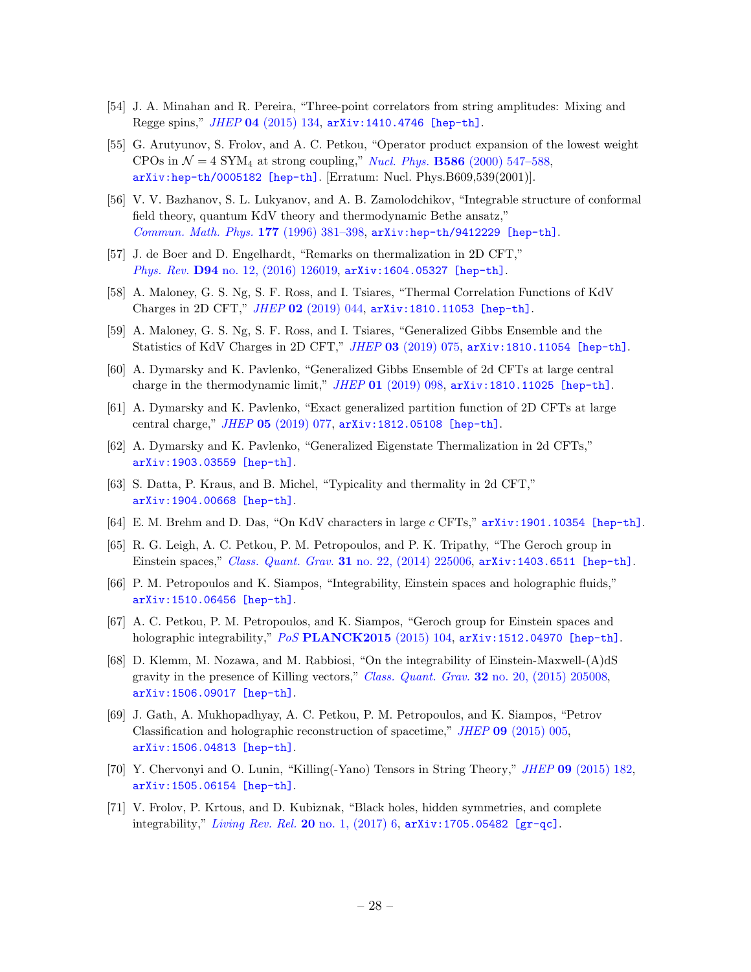- [54] J. A. Minahan and R. Pereira, "Three-point correlators from string amplitudes: Mixing and Regge spins," *JHEP* 04 [\(2015\) 134,](http://dx.doi.org/10.1007/JHEP04(2015)134) [arXiv:1410.4746 \[hep-th\]](http://arxiv.org/abs/1410.4746).
- <span id="page-28-1"></span>[55] G. Arutyunov, S. Frolov, and A. C. Petkou, "Operator product expansion of the lowest weight CPOs in  $\mathcal{N} = 4$  SYM<sub>4</sub> at strong coupling," *Nucl. Phys.* **B586** [\(2000\) 547–588,](http://dx.doi.org/10.1016/S0550-3213(01)00266-8, 10.1016/S0550-3213(00)00439-9)  $arXiv:hep-th/0005182$  [hep-th]. [Erratum: Nucl. Phys. $B609,539(2001)$ ].
- <span id="page-28-0"></span>[56] V. V. Bazhanov, S. L. Lukyanov, and A. B. Zamolodchikov, "Integrable structure of conformal field theory, quantum KdV theory and thermodynamic Bethe ansatz," *[Commun. Math. Phys.](http://dx.doi.org/10.1007/BF02101898)* 177 (1996) 381–398, [arXiv:hep-th/9412229 \[hep-th\]](http://arxiv.org/abs/hep-th/9412229).
- <span id="page-28-2"></span>[57] J. de Boer and D. Engelhardt, "Remarks on thermalization in 2D CFT," *Phys. Rev.* D94 [no. 12, \(2016\) 126019,](http://dx.doi.org/10.1103/PhysRevD.94.126019) [arXiv:1604.05327 \[hep-th\]](http://arxiv.org/abs/1604.05327).
- [58] A. Maloney, G. S. Ng, S. F. Ross, and I. Tsiares, "Thermal Correlation Functions of KdV Charges in 2D CFT," *JHEP* 02 [\(2019\) 044,](http://dx.doi.org/10.1007/JHEP02(2019)044) [arXiv:1810.11053 \[hep-th\]](http://arxiv.org/abs/1810.11053).
- [59] A. Maloney, G. S. Ng, S. F. Ross, and I. Tsiares, "Generalized Gibbs Ensemble and the Statistics of KdV Charges in 2D CFT," *JHEP* 03 [\(2019\) 075,](http://dx.doi.org/10.1007/JHEP03(2019)075) [arXiv:1810.11054 \[hep-th\]](http://arxiv.org/abs/1810.11054).
- [60] A. Dymarsky and K. Pavlenko, "Generalized Gibbs Ensemble of 2d CFTs at large central charge in the thermodynamic limit," *JHEP* 01 [\(2019\) 098,](http://dx.doi.org/10.1007/JHEP01(2019)098) [arXiv:1810.11025 \[hep-th\]](http://arxiv.org/abs/1810.11025).
- [61] A. Dymarsky and K. Pavlenko, "Exact generalized partition function of 2D CFTs at large central charge," *JHEP* 05 [\(2019\) 077,](http://dx.doi.org/10.1007/JHEP05(2019)077) [arXiv:1812.05108 \[hep-th\]](http://arxiv.org/abs/1812.05108).
- [62] A. Dymarsky and K. Pavlenko, "Generalized Eigenstate Thermalization in 2d CFTs," [arXiv:1903.03559 \[hep-th\]](http://arxiv.org/abs/1903.03559).
- [63] S. Datta, P. Kraus, and B. Michel, "Typicality and thermality in 2d CFT," [arXiv:1904.00668 \[hep-th\]](http://arxiv.org/abs/1904.00668).
- <span id="page-28-3"></span>[64] E. M. Brehm and D. Das, "On KdV characters in large c CFTs," [arXiv:1901.10354 \[hep-th\]](http://arxiv.org/abs/1901.10354).
- <span id="page-28-4"></span>[65] R. G. Leigh, A. C. Petkou, P. M. Petropoulos, and P. K. Tripathy, "The Geroch group in Einstein spaces," *Class. Quant. Grav.* 31 [no. 22, \(2014\) 225006,](http://dx.doi.org/10.1088/0264-9381/31/22/225006) [arXiv:1403.6511 \[hep-th\]](http://arxiv.org/abs/1403.6511).
- [66] P. M. Petropoulos and K. Siampos, "Integrability, Einstein spaces and holographic fluids," [arXiv:1510.06456 \[hep-th\]](http://arxiv.org/abs/1510.06456).
- [67] A. C. Petkou, P. M. Petropoulos, and K. Siampos, "Geroch group for Einstein spaces and holographic integrability," *PoS* [PLANCK2015](http://dx.doi.org/10.22323/1.258.0104) (2015) 104, [arXiv:1512.04970 \[hep-th\]](http://arxiv.org/abs/1512.04970).
- [68] D. Klemm, M. Nozawa, and M. Rabbiosi, "On the integrability of Einstein-Maxwell-(A)dS gravity in the presence of Killing vectors," *Class. Quant. Grav.* 32 [no. 20, \(2015\) 205008,](http://dx.doi.org/10.1088/0264-9381/32/20/205008) [arXiv:1506.09017 \[hep-th\]](http://arxiv.org/abs/1506.09017).
- [69] J. Gath, A. Mukhopadhyay, A. C. Petkou, P. M. Petropoulos, and K. Siampos, "Petrov Classification and holographic reconstruction of spacetime," *JHEP* 09 [\(2015\) 005,](http://dx.doi.org/10.1007/JHEP09(2015)005) [arXiv:1506.04813 \[hep-th\]](http://arxiv.org/abs/1506.04813).
- [70] Y. Chervonyi and O. Lunin, "Killing(-Yano) Tensors in String Theory," *JHEP* 09 [\(2015\) 182,](http://dx.doi.org/10.1007/JHEP09(2015)182) [arXiv:1505.06154 \[hep-th\]](http://arxiv.org/abs/1505.06154).
- [71] V. Frolov, P. Krtous, and D. Kubiznak, "Black holes, hidden symmetries, and complete integrability," *[Living Rev. Rel.](http://dx.doi.org/10.1007/s41114-017-0009-9)* 20 no. 1, (2017) 6, [arXiv:1705.05482 \[gr-qc\]](http://arxiv.org/abs/1705.05482).